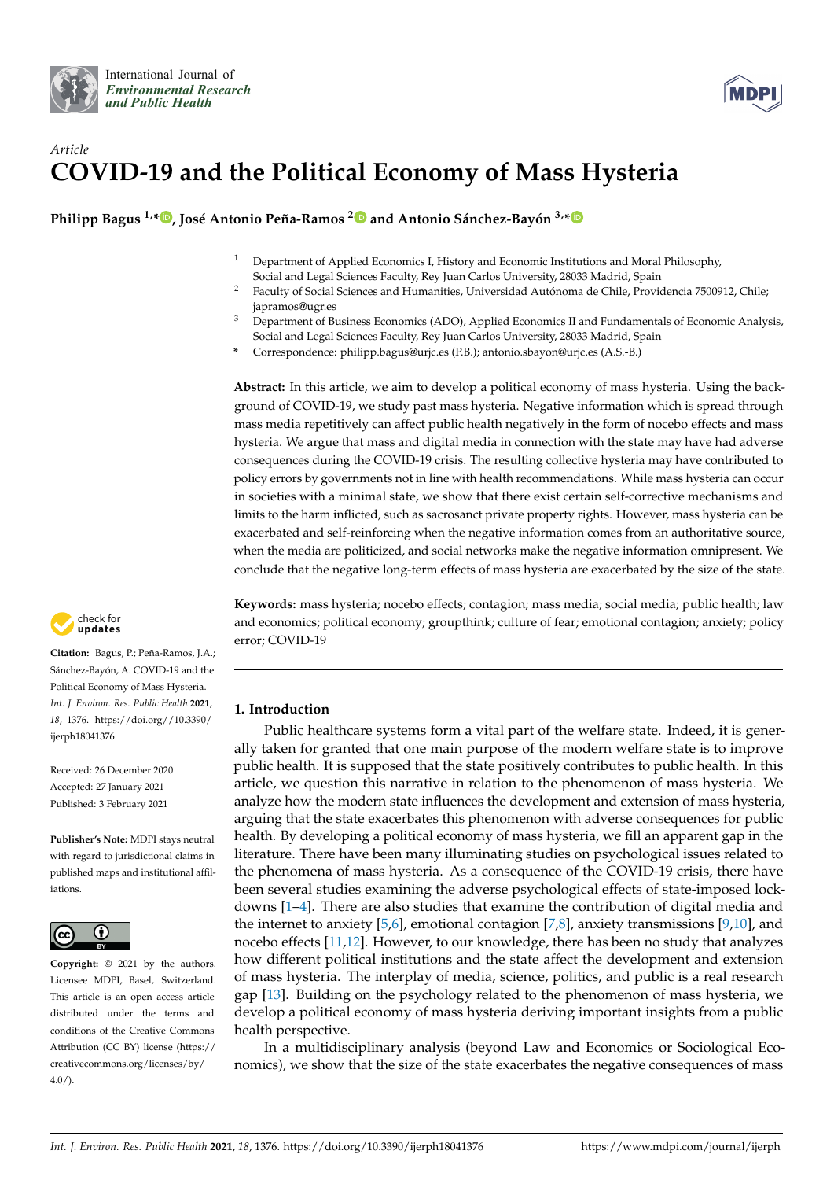

# *Article* **COVID-19 and the Political Economy of Mass Hysteria**

**Philipp Bagus 1,[\\*](https://orcid.org/0000-0002-8233-6629) , José Antonio Peña-Ramos [2](https://orcid.org/0000-0001-7073-9562) and Antonio Sánchez-Bayón 3,[\\*](https://orcid.org/0000-0003-4855-8356)**

- <sup>1</sup> Department of Applied Economics I, History and Economic Institutions and Moral Philosophy, Social and Legal Sciences Faculty, Rey Juan Carlos University, 28033 Madrid, Spain
- <sup>2</sup> Faculty of Social Sciences and Humanities, Universidad Autónoma de Chile, Providencia 7500912, Chile; japramos@ugr.es
- <sup>3</sup> Department of Business Economics (ADO), Applied Economics II and Fundamentals of Economic Analysis, Social and Legal Sciences Faculty, Rey Juan Carlos University, 28033 Madrid, Spain
- **\*** Correspondence: philipp.bagus@urjc.es (P.B.); antonio.sbayon@urjc.es (A.S.-B.)

**Abstract:** In this article, we aim to develop a political economy of mass hysteria. Using the background of COVID-19, we study past mass hysteria. Negative information which is spread through mass media repetitively can affect public health negatively in the form of nocebo effects and mass hysteria. We argue that mass and digital media in connection with the state may have had adverse consequences during the COVID-19 crisis. The resulting collective hysteria may have contributed to policy errors by governments not in line with health recommendations. While mass hysteria can occur in societies with a minimal state, we show that there exist certain self-corrective mechanisms and limits to the harm inflicted, such as sacrosanct private property rights. However, mass hysteria can be exacerbated and self-reinforcing when the negative information comes from an authoritative source, when the media are politicized, and social networks make the negative information omnipresent. We conclude that the negative long-term effects of mass hysteria are exacerbated by the size of the state.

**Keywords:** mass hysteria; nocebo effects; contagion; mass media; social media; public health; law and economics; political economy; groupthink; culture of fear; emotional contagion; anxiety; policy error; COVID-19

# **1. Introduction**

Public healthcare systems form a vital part of the welfare state. Indeed, it is generally taken for granted that one main purpose of the modern welfare state is to improve public health. It is supposed that the state positively contributes to public health. In this article, we question this narrative in relation to the phenomenon of mass hysteria. We analyze how the modern state influences the development and extension of mass hysteria, arguing that the state exacerbates this phenomenon with adverse consequences for public health. By developing a political economy of mass hysteria, we fill an apparent gap in the literature. There have been many illuminating studies on psychological issues related to the phenomena of mass hysteria. As a consequence of the COVID-19 crisis, there have been several studies examining the adverse psychological effects of state-imposed lockdowns [\[1](#page-11-0)[–4\]](#page-11-1). There are also studies that examine the contribution of digital media and the internet to anxiety [\[5,](#page-11-2)[6\]](#page-11-3), emotional contagion [\[7](#page-11-4)[,8\]](#page-11-5), anxiety transmissions [\[9,](#page-11-6)[10\]](#page-11-7), and nocebo effects [\[11,](#page-11-8)[12\]](#page-11-9). However, to our knowledge, there has been no study that analyzes how different political institutions and the state affect the development and extension of mass hysteria. The interplay of media, science, politics, and public is a real research gap [\[13\]](#page-11-10). Building on the psychology related to the phenomenon of mass hysteria, we develop a political economy of mass hysteria deriving important insights from a public health perspective.

In a multidisciplinary analysis (beyond Law and Economics or Sociological Economics), we show that the size of the state exacerbates the negative consequences of mass



**Citation:** Bagus, P.; Peña-Ramos, J.A.; Sánchez-Bayón, A. COVID-19 and the Political Economy of Mass Hysteria. *Int. J. Environ. Res. Public Health* **2021**, *18*, 1376. [https://doi.org//10.3390/](https://doi.org/10.3390/ijerph18041376) [ijerph18041376](https://doi.org/10.3390/ijerph18041376)

Received: 26 December 2020 Accepted: 27 January 2021 Published: 3 February 2021

**Publisher's Note:** MDPI stays neutral with regard to jurisdictional claims in published maps and institutional affiliations.



**Copyright:** © 2021 by the authors. Licensee MDPI, Basel, Switzerland. This article is an open access article distributed under the terms and conditions of the Creative Commons Attribution (CC BY) license (https:/[/](https://creativecommons.org/licenses/by/4.0/) [creativecommons.org/licenses/by/](https://creativecommons.org/licenses/by/4.0/) 4.0/).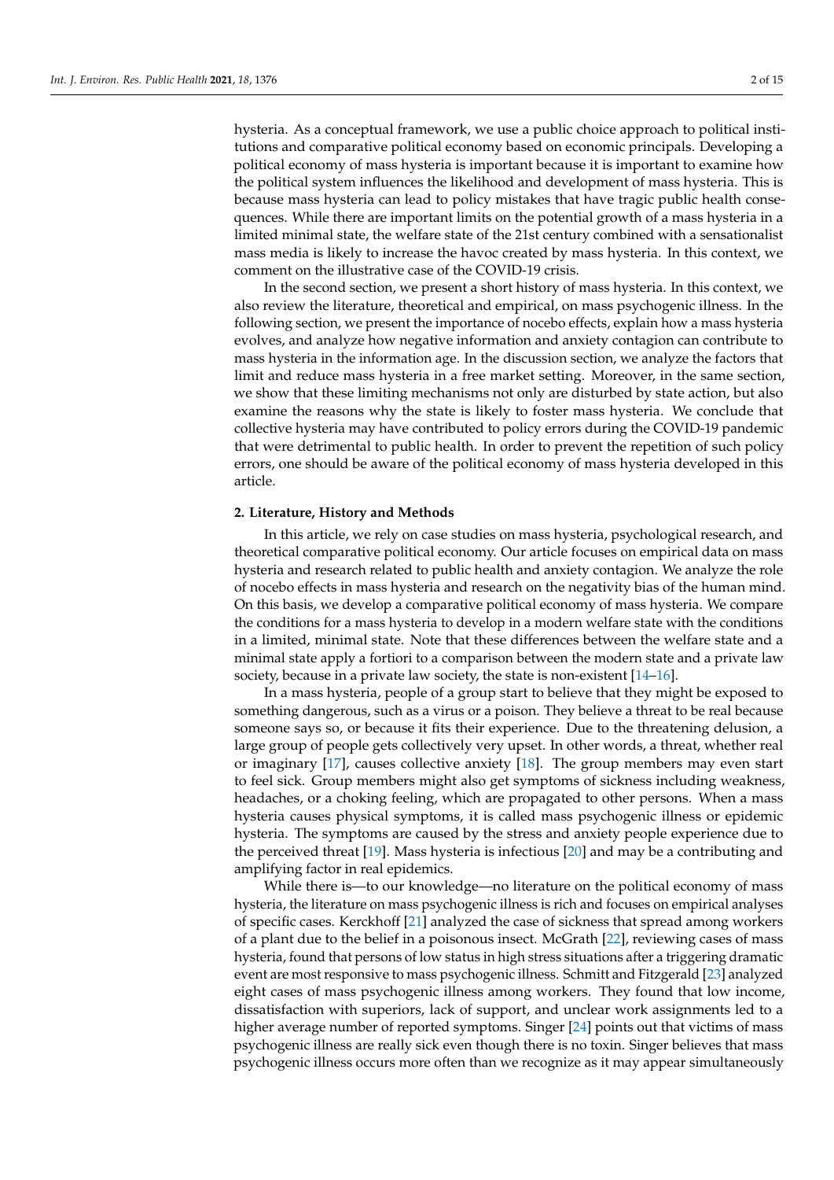hysteria. As a conceptual framework, we use a public choice approach to political institutions and comparative political economy based on economic principals. Developing a political economy of mass hysteria is important because it is important to examine how the political system influences the likelihood and development of mass hysteria. This is because mass hysteria can lead to policy mistakes that have tragic public health consequences. While there are important limits on the potential growth of a mass hysteria in a limited minimal state, the welfare state of the 21st century combined with a sensationalist mass media is likely to increase the havoc created by mass hysteria. In this context, we comment on the illustrative case of the COVID-19 crisis.

In the second section, we present a short history of mass hysteria. In this context, we also review the literature, theoretical and empirical, on mass psychogenic illness. In the following section, we present the importance of nocebo effects, explain how a mass hysteria evolves, and analyze how negative information and anxiety contagion can contribute to mass hysteria in the information age. In the discussion section, we analyze the factors that limit and reduce mass hysteria in a free market setting. Moreover, in the same section, we show that these limiting mechanisms not only are disturbed by state action, but also examine the reasons why the state is likely to foster mass hysteria. We conclude that collective hysteria may have contributed to policy errors during the COVID-19 pandemic that were detrimental to public health. In order to prevent the repetition of such policy errors, one should be aware of the political economy of mass hysteria developed in this article.

## **2. Literature, History and Methods**

In this article, we rely on case studies on mass hysteria, psychological research, and theoretical comparative political economy. Our article focuses on empirical data on mass hysteria and research related to public health and anxiety contagion. We analyze the role of nocebo effects in mass hysteria and research on the negativity bias of the human mind. On this basis, we develop a comparative political economy of mass hysteria. We compare the conditions for a mass hysteria to develop in a modern welfare state with the conditions in a limited, minimal state. Note that these differences between the welfare state and a minimal state apply a fortiori to a comparison between the modern state and a private law society, because in a private law society, the state is non-existent [\[14–](#page-11-11)[16\]](#page-11-12).

In a mass hysteria, people of a group start to believe that they might be exposed to something dangerous, such as a virus or a poison. They believe a threat to be real because someone says so, or because it fits their experience. Due to the threatening delusion, a large group of people gets collectively very upset. In other words, a threat, whether real or imaginary [\[17\]](#page-11-13), causes collective anxiety [\[18\]](#page-11-14). The group members may even start to feel sick. Group members might also get symptoms of sickness including weakness, headaches, or a choking feeling, which are propagated to other persons. When a mass hysteria causes physical symptoms, it is called mass psychogenic illness or epidemic hysteria. The symptoms are caused by the stress and anxiety people experience due to the perceived threat [\[19\]](#page-11-15). Mass hysteria is infectious [\[20\]](#page-11-16) and may be a contributing and amplifying factor in real epidemics.

While there is—to our knowledge—no literature on the political economy of mass hysteria, the literature on mass psychogenic illness is rich and focuses on empirical analyses of specific cases. Kerckhoff [\[21\]](#page-11-17) analyzed the case of sickness that spread among workers of a plant due to the belief in a poisonous insect. McGrath [\[22\]](#page-11-18), reviewing cases of mass hysteria, found that persons of low status in high stress situations after a triggering dramatic event are most responsive to mass psychogenic illness. Schmitt and Fitzgerald [\[23\]](#page-11-19) analyzed eight cases of mass psychogenic illness among workers. They found that low income, dissatisfaction with superiors, lack of support, and unclear work assignments led to a higher average number of reported symptoms. Singer [\[24\]](#page-11-20) points out that victims of mass psychogenic illness are really sick even though there is no toxin. Singer believes that mass psychogenic illness occurs more often than we recognize as it may appear simultaneously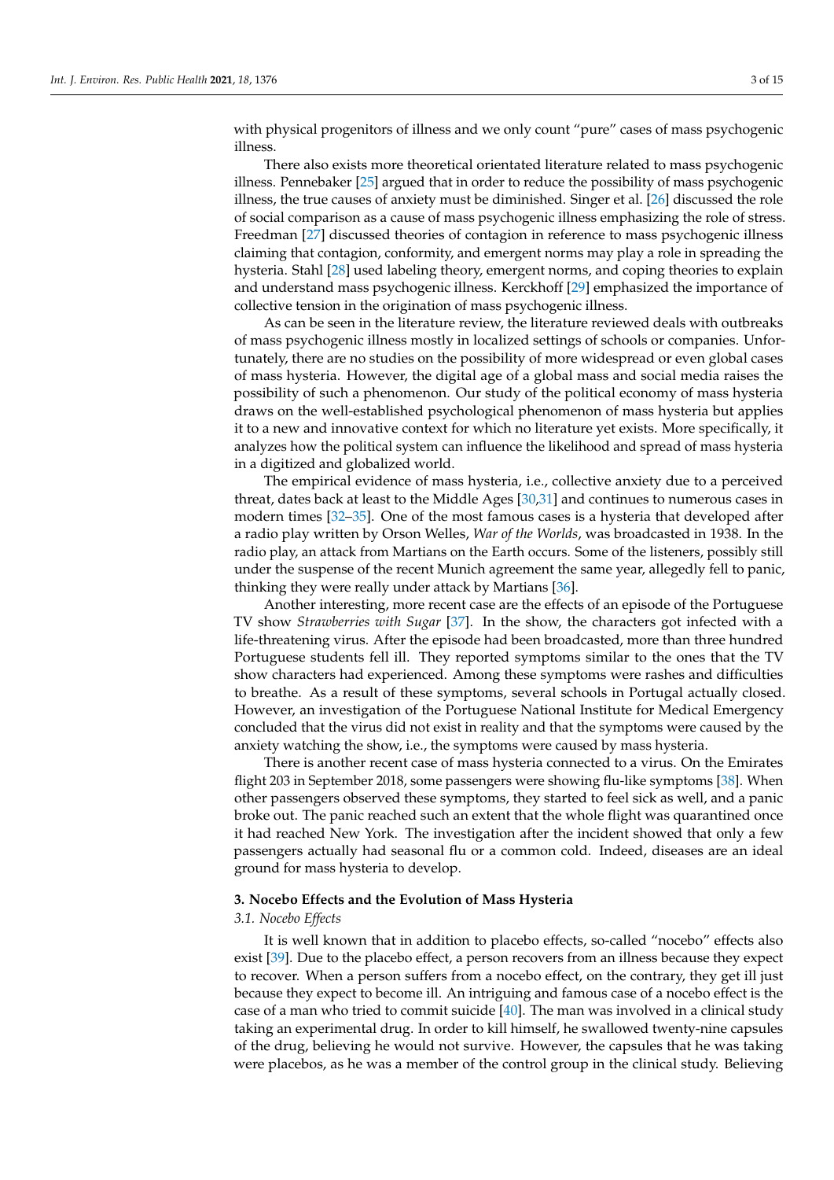with physical progenitors of illness and we only count "pure" cases of mass psychogenic illness.

There also exists more theoretical orientated literature related to mass psychogenic illness. Pennebaker [\[25\]](#page-11-21) argued that in order to reduce the possibility of mass psychogenic illness, the true causes of anxiety must be diminished. Singer et al. [\[26\]](#page-11-22) discussed the role of social comparison as a cause of mass psychogenic illness emphasizing the role of stress. Freedman [\[27\]](#page-11-23) discussed theories of contagion in reference to mass psychogenic illness claiming that contagion, conformity, and emergent norms may play a role in spreading the hysteria. Stahl [\[28\]](#page-12-0) used labeling theory, emergent norms, and coping theories to explain and understand mass psychogenic illness. Kerckhoff [\[29\]](#page-12-1) emphasized the importance of collective tension in the origination of mass psychogenic illness.

As can be seen in the literature review, the literature reviewed deals with outbreaks of mass psychogenic illness mostly in localized settings of schools or companies. Unfortunately, there are no studies on the possibility of more widespread or even global cases of mass hysteria. However, the digital age of a global mass and social media raises the possibility of such a phenomenon. Our study of the political economy of mass hysteria draws on the well-established psychological phenomenon of mass hysteria but applies it to a new and innovative context for which no literature yet exists. More specifically, it analyzes how the political system can influence the likelihood and spread of mass hysteria in a digitized and globalized world.

The empirical evidence of mass hysteria, i.e., collective anxiety due to a perceived threat, dates back at least to the Middle Ages [\[30](#page-12-2)[,31\]](#page-12-3) and continues to numerous cases in modern times [\[32–](#page-12-4)[35\]](#page-12-5). One of the most famous cases is a hysteria that developed after a radio play written by Orson Welles, *War of the Worlds*, was broadcasted in 1938. In the radio play, an attack from Martians on the Earth occurs. Some of the listeners, possibly still under the suspense of the recent Munich agreement the same year, allegedly fell to panic, thinking they were really under attack by Martians [\[36\]](#page-12-6).

Another interesting, more recent case are the effects of an episode of the Portuguese TV show *Strawberries with Sugar* [\[37\]](#page-12-7). In the show, the characters got infected with a life-threatening virus. After the episode had been broadcasted, more than three hundred Portuguese students fell ill. They reported symptoms similar to the ones that the TV show characters had experienced. Among these symptoms were rashes and difficulties to breathe. As a result of these symptoms, several schools in Portugal actually closed. However, an investigation of the Portuguese National Institute for Medical Emergency concluded that the virus did not exist in reality and that the symptoms were caused by the anxiety watching the show, i.e., the symptoms were caused by mass hysteria.

There is another recent case of mass hysteria connected to a virus. On the Emirates flight 203 in September 2018, some passengers were showing flu-like symptoms [\[38\]](#page-12-8). When other passengers observed these symptoms, they started to feel sick as well, and a panic broke out. The panic reached such an extent that the whole flight was quarantined once it had reached New York. The investigation after the incident showed that only a few passengers actually had seasonal flu or a common cold. Indeed, diseases are an ideal ground for mass hysteria to develop.

## **3. Nocebo Effects and the Evolution of Mass Hysteria**

#### *3.1. Nocebo Effects*

It is well known that in addition to placebo effects, so-called "nocebo" effects also exist [\[39\]](#page-12-9). Due to the placebo effect, a person recovers from an illness because they expect to recover. When a person suffers from a nocebo effect, on the contrary, they get ill just because they expect to become ill. An intriguing and famous case of a nocebo effect is the case of a man who tried to commit suicide [\[40\]](#page-12-10). The man was involved in a clinical study taking an experimental drug. In order to kill himself, he swallowed twenty-nine capsules of the drug, believing he would not survive. However, the capsules that he was taking were placebos, as he was a member of the control group in the clinical study. Believing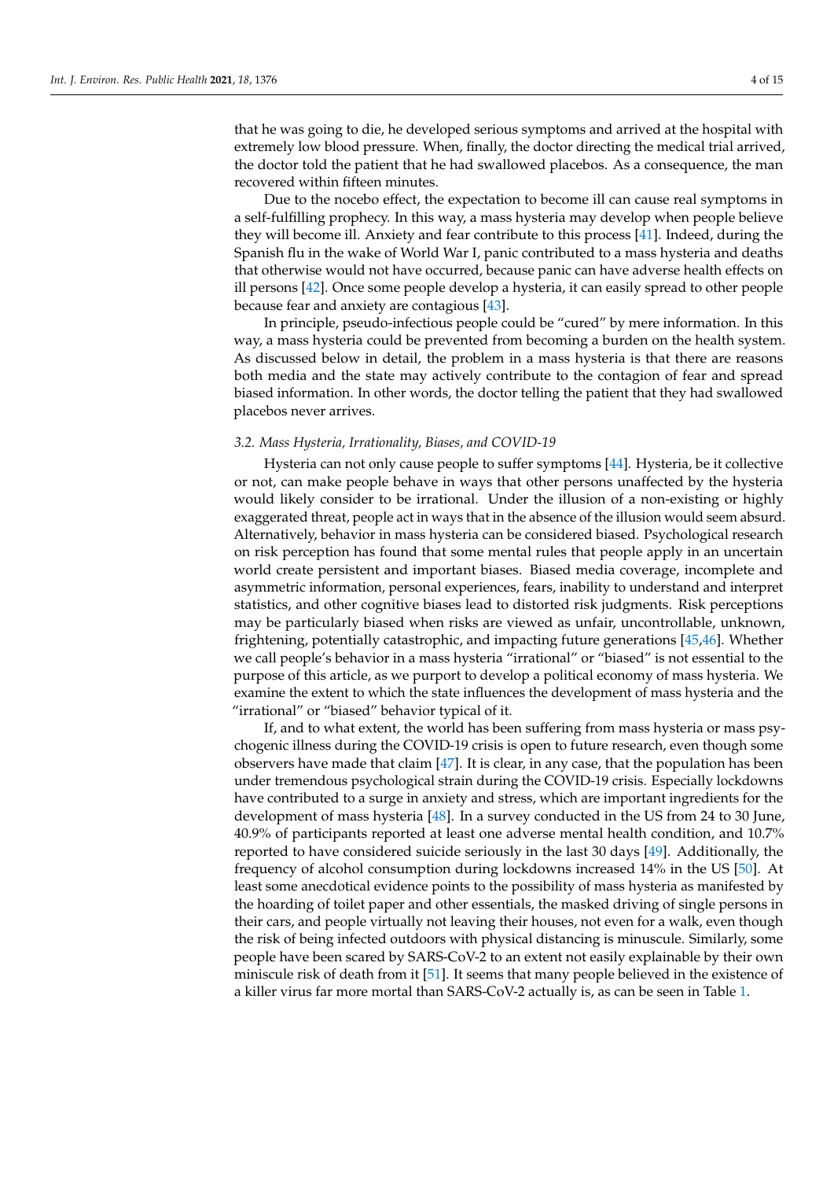that he was going to die, he developed serious symptoms and arrived at the hospital with extremely low blood pressure. When, finally, the doctor directing the medical trial arrived, the doctor told the patient that he had swallowed placebos. As a consequence, the man recovered within fifteen minutes.

Due to the nocebo effect, the expectation to become ill can cause real symptoms in a self-fulfilling prophecy. In this way, a mass hysteria may develop when people believe they will become ill. Anxiety and fear contribute to this process [\[41\]](#page-12-11). Indeed, during the Spanish flu in the wake of World War I, panic contributed to a mass hysteria and deaths that otherwise would not have occurred, because panic can have adverse health effects on ill persons [\[42\]](#page-12-12). Once some people develop a hysteria, it can easily spread to other people because fear and anxiety are contagious [\[43\]](#page-12-13).

In principle, pseudo-infectious people could be "cured" by mere information. In this way, a mass hysteria could be prevented from becoming a burden on the health system. As discussed below in detail, the problem in a mass hysteria is that there are reasons both media and the state may actively contribute to the contagion of fear and spread biased information. In other words, the doctor telling the patient that they had swallowed placebos never arrives.

#### *3.2. Mass Hysteria, Irrationality, Biases, and COVID-19*

Hysteria can not only cause people to suffer symptoms [\[44\]](#page-12-14). Hysteria, be it collective or not, can make people behave in ways that other persons unaffected by the hysteria would likely consider to be irrational. Under the illusion of a non-existing or highly exaggerated threat, people act in ways that in the absence of the illusion would seem absurd. Alternatively, behavior in mass hysteria can be considered biased. Psychological research on risk perception has found that some mental rules that people apply in an uncertain world create persistent and important biases. Biased media coverage, incomplete and asymmetric information, personal experiences, fears, inability to understand and interpret statistics, and other cognitive biases lead to distorted risk judgments. Risk perceptions may be particularly biased when risks are viewed as unfair, uncontrollable, unknown, frightening, potentially catastrophic, and impacting future generations [\[45,](#page-12-15)[46\]](#page-12-16). Whether we call people's behavior in a mass hysteria "irrational" or "biased" is not essential to the purpose of this article, as we purport to develop a political economy of mass hysteria. We examine the extent to which the state influences the development of mass hysteria and the "irrational" or "biased" behavior typical of it.

If, and to what extent, the world has been suffering from mass hysteria or mass psychogenic illness during the COVID-19 crisis is open to future research, even though some observers have made that claim [\[47\]](#page-12-17). It is clear, in any case, that the population has been under tremendous psychological strain during the COVID-19 crisis. Especially lockdowns have contributed to a surge in anxiety and stress, which are important ingredients for the development of mass hysteria [\[48\]](#page-12-18). In a survey conducted in the US from 24 to 30 June, 40.9% of participants reported at least one adverse mental health condition, and 10.7% reported to have considered suicide seriously in the last 30 days [\[49\]](#page-12-19). Additionally, the frequency of alcohol consumption during lockdowns increased 14% in the US [\[50\]](#page-12-20). At least some anecdotical evidence points to the possibility of mass hysteria as manifested by the hoarding of toilet paper and other essentials, the masked driving of single persons in their cars, and people virtually not leaving their houses, not even for a walk, even though the risk of being infected outdoors with physical distancing is minuscule. Similarly, some people have been scared by SARS-CoV-2 to an extent not easily explainable by their own miniscule risk of death from it [\[51\]](#page-12-21). It seems that many people believed in the existence of a killer virus far more mortal than SARS-CoV-2 actually is, as can be seen in Table [1.](#page-4-0)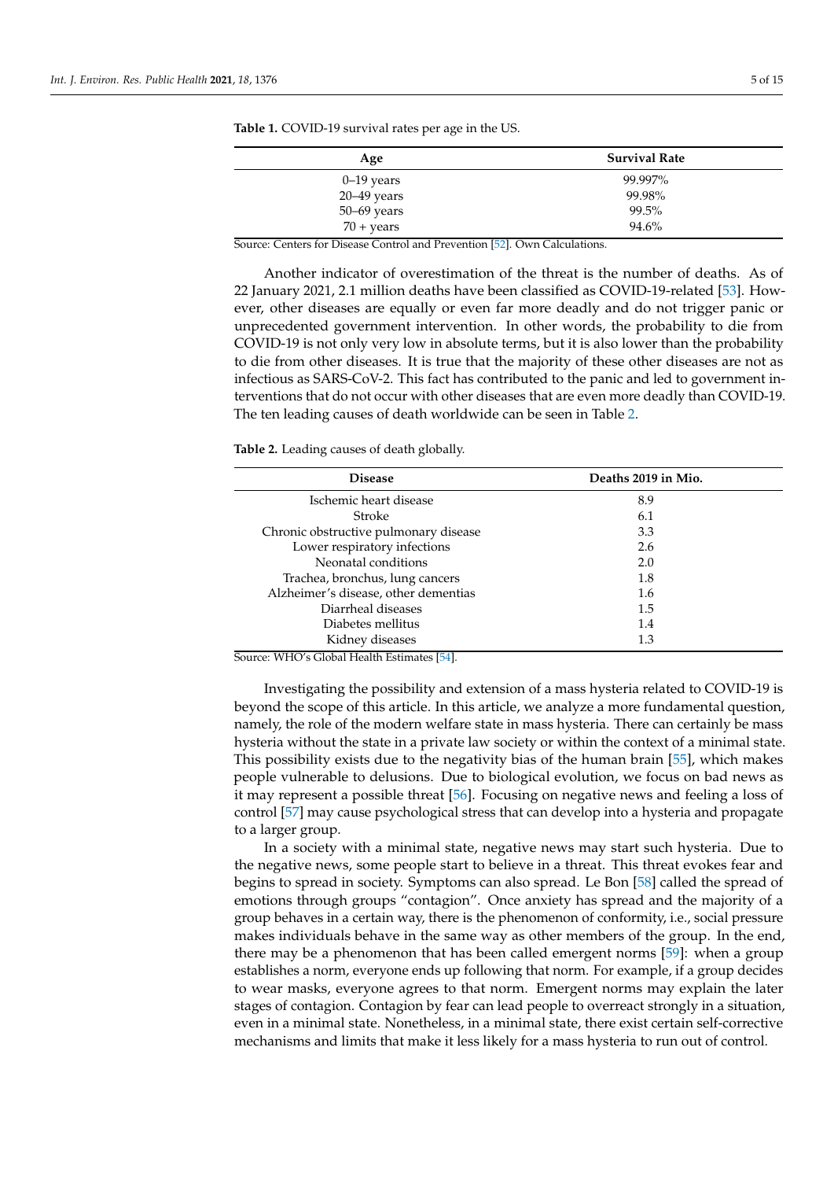| Age                 | <b>Survival Rate</b> |
|---------------------|----------------------|
| $0-19$ years        | 99.997%              |
| $20 - 49$ years     | 99.98%               |
| 50-69 years         | 99.5%                |
| $70 + \text{years}$ | 94.6%                |

<span id="page-4-0"></span>**Table 1.** COVID-19 survival rates per age in the US.

Source: Centers for Disease Control and Prevention [\[52\]](#page-12-22). Own Calculations.

Another indicator of overestimation of the threat is the number of deaths. As of 22 January 2021, 2.1 million deaths have been classified as COVID-19-related [\[53\]](#page-12-23). However, other diseases are equally or even far more deadly and do not trigger panic or unprecedented government intervention. In other words, the probability to die from COVID-19 is not only very low in absolute terms, but it is also lower than the probability to die from other diseases. It is true that the majority of these other diseases are not as infectious as SARS-CoV-2. This fact has contributed to the panic and led to government interventions that do not occur with other diseases that are even more deadly than COVID-19. The ten leading causes of death worldwide can be seen in Table [2.](#page-4-1)

<span id="page-4-1"></span>**Table 2.** Leading causes of death globally.

| <b>Disease</b>                            | Deaths 2019 in Mio. |  |
|-------------------------------------------|---------------------|--|
| Ischemic heart disease                    | 8.9                 |  |
| Stroke                                    | 6.1                 |  |
| Chronic obstructive pulmonary disease     | 3.3                 |  |
| Lower respiratory infections              | 2.6                 |  |
| Neonatal conditions                       | 2.0                 |  |
| Trachea, bronchus, lung cancers           | 1.8                 |  |
| Alzheimer's disease, other dementias      | 1.6                 |  |
| Diarrheal diseases                        | 1.5                 |  |
| Diabetes mellitus                         | 1.4                 |  |
| Kidney diseases<br>$\sqrt{2}$<br>$r = 47$ | 1.3                 |  |

Source: WHO's Global Health Estimates [\[54\]](#page-12-24).

Investigating the possibility and extension of a mass hysteria related to COVID-19 is beyond the scope of this article. In this article, we analyze a more fundamental question, namely, the role of the modern welfare state in mass hysteria. There can certainly be mass hysteria without the state in a private law society or within the context of a minimal state. This possibility exists due to the negativity bias of the human brain [\[55\]](#page-12-25), which makes people vulnerable to delusions. Due to biological evolution, we focus on bad news as it may represent a possible threat [\[56\]](#page-12-26). Focusing on negative news and feeling a loss of control [\[57\]](#page-12-27) may cause psychological stress that can develop into a hysteria and propagate to a larger group.

In a society with a minimal state, negative news may start such hysteria. Due to the negative news, some people start to believe in a threat. This threat evokes fear and begins to spread in society. Symptoms can also spread. Le Bon [\[58\]](#page-12-28) called the spread of emotions through groups "contagion". Once anxiety has spread and the majority of a group behaves in a certain way, there is the phenomenon of conformity, i.e., social pressure makes individuals behave in the same way as other members of the group. In the end, there may be a phenomenon that has been called emergent norms [\[59\]](#page-12-29): when a group establishes a norm, everyone ends up following that norm. For example, if a group decides to wear masks, everyone agrees to that norm. Emergent norms may explain the later stages of contagion. Contagion by fear can lead people to overreact strongly in a situation, even in a minimal state. Nonetheless, in a minimal state, there exist certain self-corrective mechanisms and limits that make it less likely for a mass hysteria to run out of control.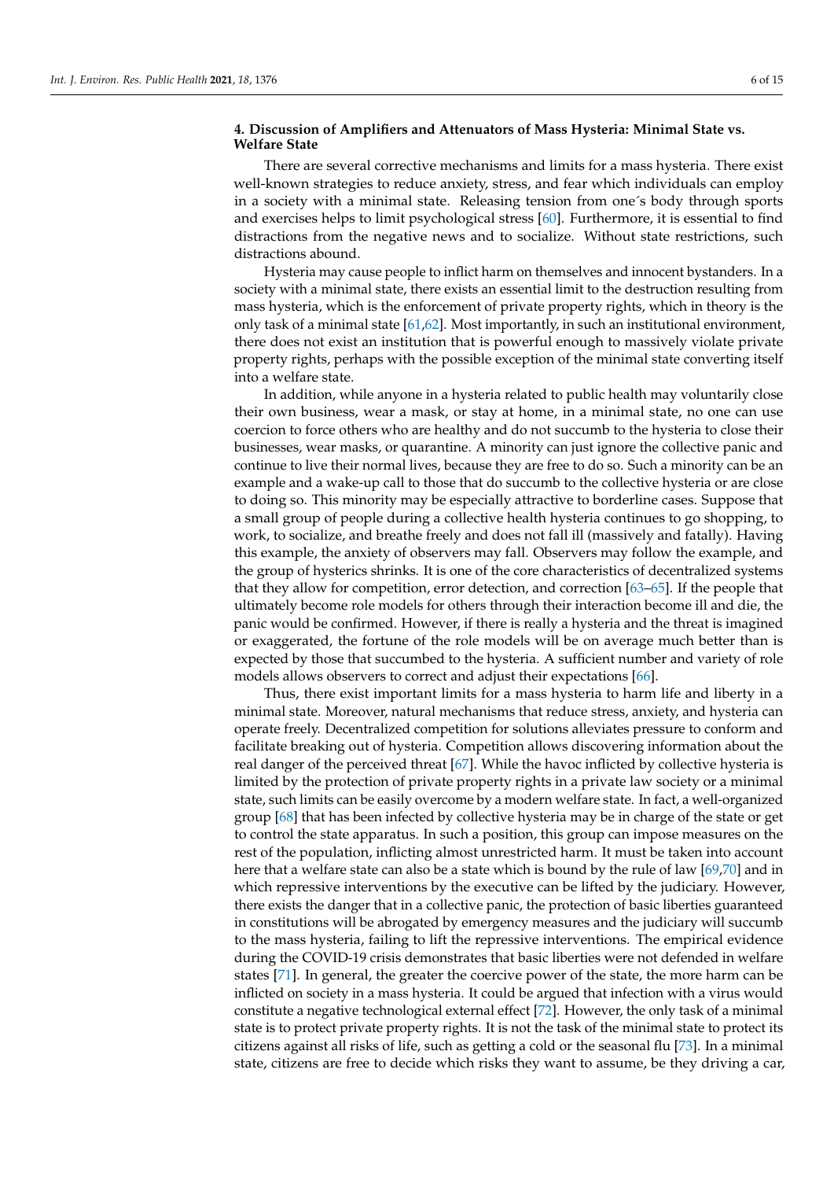## **4. Discussion of Amplifiers and Attenuators of Mass Hysteria: Minimal State vs. Welfare State**

There are several corrective mechanisms and limits for a mass hysteria. There exist well-known strategies to reduce anxiety, stress, and fear which individuals can employ in a society with a minimal state. Releasing tension from one´s body through sports and exercises helps to limit psychological stress [\[60\]](#page-12-30). Furthermore, it is essential to find distractions from the negative news and to socialize. Without state restrictions, such distractions abound.

Hysteria may cause people to inflict harm on themselves and innocent bystanders. In a society with a minimal state, there exists an essential limit to the destruction resulting from mass hysteria, which is the enforcement of private property rights, which in theory is the only task of a minimal state [\[61](#page-13-0)[,62\]](#page-13-1). Most importantly, in such an institutional environment, there does not exist an institution that is powerful enough to massively violate private property rights, perhaps with the possible exception of the minimal state converting itself into a welfare state.

In addition, while anyone in a hysteria related to public health may voluntarily close their own business, wear a mask, or stay at home, in a minimal state, no one can use coercion to force others who are healthy and do not succumb to the hysteria to close their businesses, wear masks, or quarantine. A minority can just ignore the collective panic and continue to live their normal lives, because they are free to do so. Such a minority can be an example and a wake-up call to those that do succumb to the collective hysteria or are close to doing so. This minority may be especially attractive to borderline cases. Suppose that a small group of people during a collective health hysteria continues to go shopping, to work, to socialize, and breathe freely and does not fall ill (massively and fatally). Having this example, the anxiety of observers may fall. Observers may follow the example, and the group of hysterics shrinks. It is one of the core characteristics of decentralized systems that they allow for competition, error detection, and correction [\[63–](#page-13-2)[65\]](#page-13-3). If the people that ultimately become role models for others through their interaction become ill and die, the panic would be confirmed. However, if there is really a hysteria and the threat is imagined or exaggerated, the fortune of the role models will be on average much better than is expected by those that succumbed to the hysteria. A sufficient number and variety of role models allows observers to correct and adjust their expectations [\[66\]](#page-13-4).

Thus, there exist important limits for a mass hysteria to harm life and liberty in a minimal state. Moreover, natural mechanisms that reduce stress, anxiety, and hysteria can operate freely. Decentralized competition for solutions alleviates pressure to conform and facilitate breaking out of hysteria. Competition allows discovering information about the real danger of the perceived threat [\[67\]](#page-13-5). While the havoc inflicted by collective hysteria is limited by the protection of private property rights in a private law society or a minimal state, such limits can be easily overcome by a modern welfare state. In fact, a well-organized group [\[68\]](#page-13-6) that has been infected by collective hysteria may be in charge of the state or get to control the state apparatus. In such a position, this group can impose measures on the rest of the population, inflicting almost unrestricted harm. It must be taken into account here that a welfare state can also be a state which is bound by the rule of law [\[69,](#page-13-7)[70\]](#page-13-8) and in which repressive interventions by the executive can be lifted by the judiciary. However, there exists the danger that in a collective panic, the protection of basic liberties guaranteed in constitutions will be abrogated by emergency measures and the judiciary will succumb to the mass hysteria, failing to lift the repressive interventions. The empirical evidence during the COVID-19 crisis demonstrates that basic liberties were not defended in welfare states [\[71\]](#page-13-9). In general, the greater the coercive power of the state, the more harm can be inflicted on society in a mass hysteria. It could be argued that infection with a virus would constitute a negative technological external effect [\[72\]](#page-13-10). However, the only task of a minimal state is to protect private property rights. It is not the task of the minimal state to protect its citizens against all risks of life, such as getting a cold or the seasonal flu [\[73\]](#page-13-11). In a minimal state, citizens are free to decide which risks they want to assume, be they driving a car,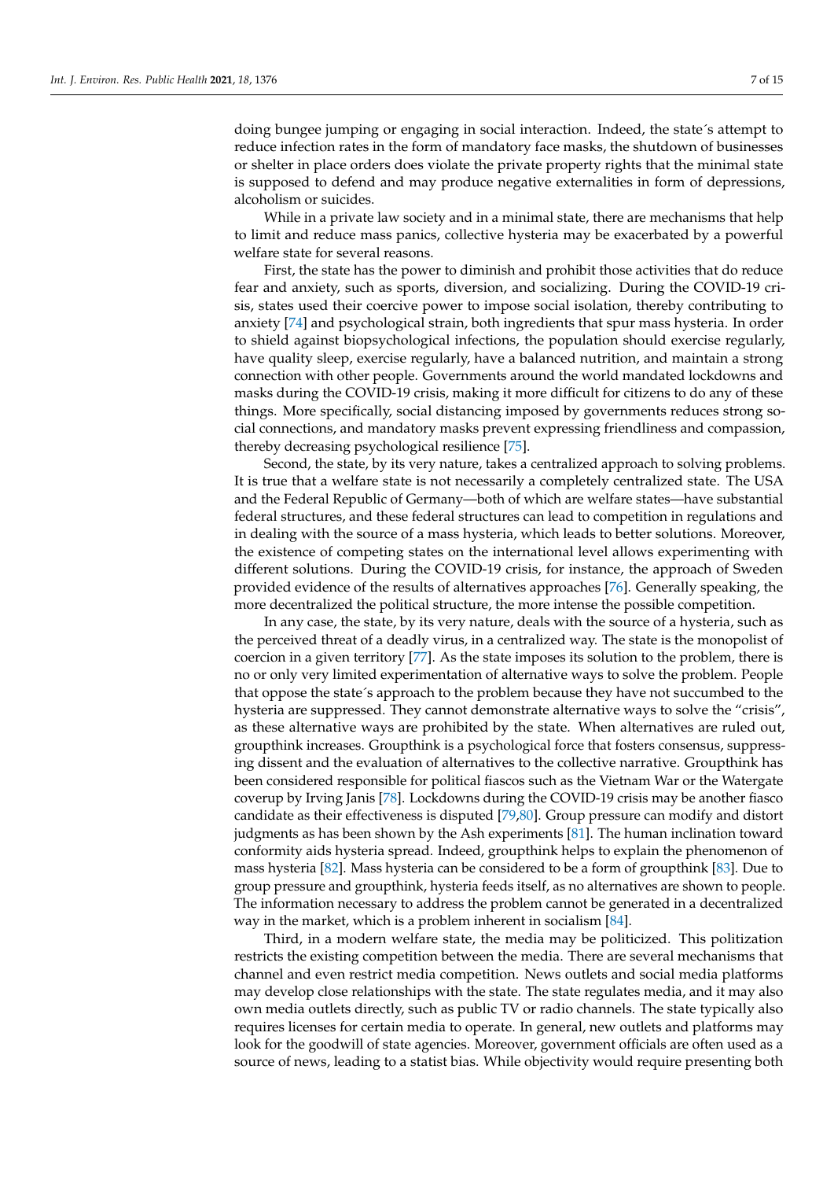doing bungee jumping or engaging in social interaction. Indeed, the state´s attempt to reduce infection rates in the form of mandatory face masks, the shutdown of businesses or shelter in place orders does violate the private property rights that the minimal state is supposed to defend and may produce negative externalities in form of depressions, alcoholism or suicides.

While in a private law society and in a minimal state, there are mechanisms that help to limit and reduce mass panics, collective hysteria may be exacerbated by a powerful welfare state for several reasons.

First, the state has the power to diminish and prohibit those activities that do reduce fear and anxiety, such as sports, diversion, and socializing. During the COVID-19 crisis, states used their coercive power to impose social isolation, thereby contributing to anxiety [\[74\]](#page-13-12) and psychological strain, both ingredients that spur mass hysteria. In order to shield against biopsychological infections, the population should exercise regularly, have quality sleep, exercise regularly, have a balanced nutrition, and maintain a strong connection with other people. Governments around the world mandated lockdowns and masks during the COVID-19 crisis, making it more difficult for citizens to do any of these things. More specifically, social distancing imposed by governments reduces strong social connections, and mandatory masks prevent expressing friendliness and compassion, thereby decreasing psychological resilience [\[75\]](#page-13-13).

Second, the state, by its very nature, takes a centralized approach to solving problems. It is true that a welfare state is not necessarily a completely centralized state. The USA and the Federal Republic of Germany—both of which are welfare states—have substantial federal structures, and these federal structures can lead to competition in regulations and in dealing with the source of a mass hysteria, which leads to better solutions. Moreover, the existence of competing states on the international level allows experimenting with different solutions. During the COVID-19 crisis, for instance, the approach of Sweden provided evidence of the results of alternatives approaches [\[76\]](#page-13-14). Generally speaking, the more decentralized the political structure, the more intense the possible competition.

In any case, the state, by its very nature, deals with the source of a hysteria, such as the perceived threat of a deadly virus, in a centralized way. The state is the monopolist of coercion in a given territory [\[77\]](#page-13-15). As the state imposes its solution to the problem, there is no or only very limited experimentation of alternative ways to solve the problem. People that oppose the state´s approach to the problem because they have not succumbed to the hysteria are suppressed. They cannot demonstrate alternative ways to solve the "crisis", as these alternative ways are prohibited by the state. When alternatives are ruled out, groupthink increases. Groupthink is a psychological force that fosters consensus, suppressing dissent and the evaluation of alternatives to the collective narrative. Groupthink has been considered responsible for political fiascos such as the Vietnam War or the Watergate coverup by Irving Janis [\[78\]](#page-13-16). Lockdowns during the COVID-19 crisis may be another fiasco candidate as their effectiveness is disputed [\[79](#page-13-17)[,80\]](#page-13-18). Group pressure can modify and distort judgments as has been shown by the Ash experiments [\[81\]](#page-13-19). The human inclination toward conformity aids hysteria spread. Indeed, groupthink helps to explain the phenomenon of mass hysteria [\[82\]](#page-13-20). Mass hysteria can be considered to be a form of groupthink [\[83\]](#page-13-21). Due to group pressure and groupthink, hysteria feeds itself, as no alternatives are shown to people. The information necessary to address the problem cannot be generated in a decentralized way in the market, which is a problem inherent in socialism [\[84\]](#page-13-22).

Third, in a modern welfare state, the media may be politicized. This politization restricts the existing competition between the media. There are several mechanisms that channel and even restrict media competition. News outlets and social media platforms may develop close relationships with the state. The state regulates media, and it may also own media outlets directly, such as public TV or radio channels. The state typically also requires licenses for certain media to operate. In general, new outlets and platforms may look for the goodwill of state agencies. Moreover, government officials are often used as a source of news, leading to a statist bias. While objectivity would require presenting both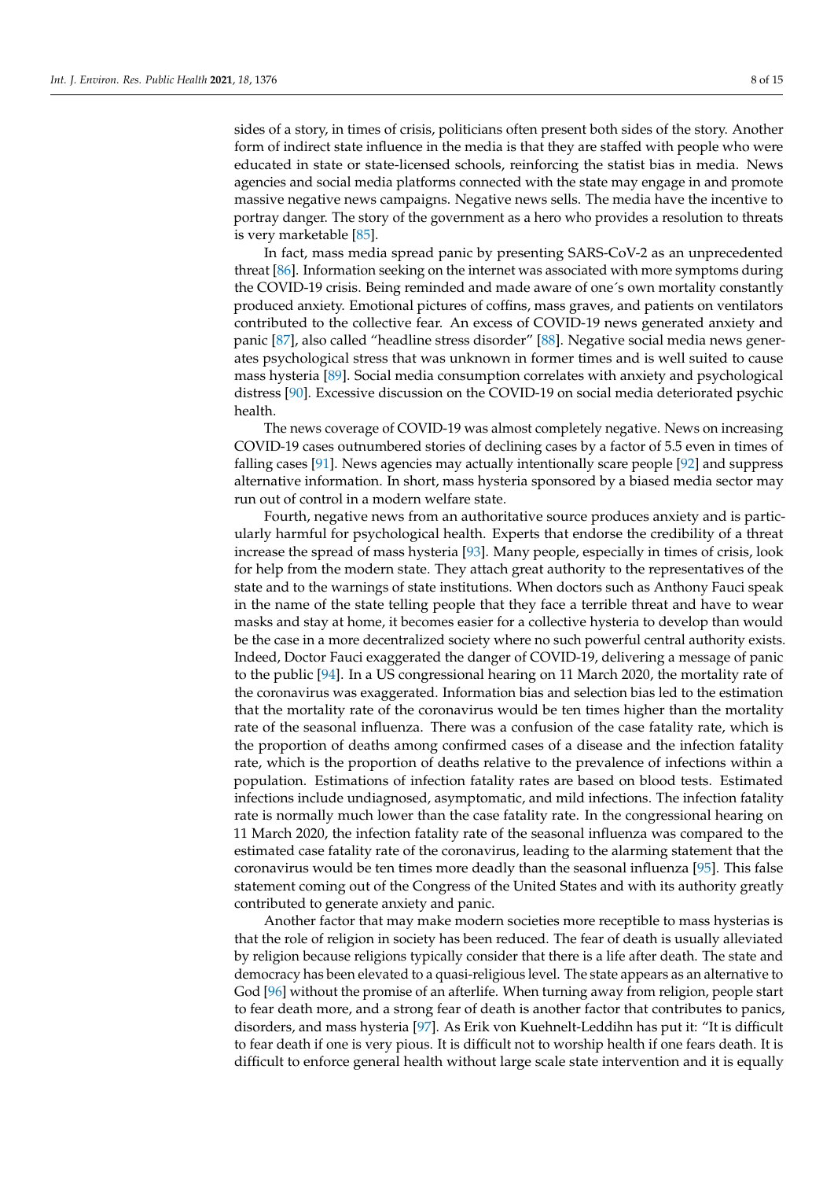sides of a story, in times of crisis, politicians often present both sides of the story. Another form of indirect state influence in the media is that they are staffed with people who were educated in state or state-licensed schools, reinforcing the statist bias in media. News agencies and social media platforms connected with the state may engage in and promote massive negative news campaigns. Negative news sells. The media have the incentive to portray danger. The story of the government as a hero who provides a resolution to threats is very marketable [\[85\]](#page-13-23).

In fact, mass media spread panic by presenting SARS-CoV-2 as an unprecedented threat [\[86\]](#page-13-24). Information seeking on the internet was associated with more symptoms during the COVID-19 crisis. Being reminded and made aware of one´s own mortality constantly produced anxiety. Emotional pictures of coffins, mass graves, and patients on ventilators contributed to the collective fear. An excess of COVID-19 news generated anxiety and panic [\[87\]](#page-13-25), also called "headline stress disorder" [\[88\]](#page-13-26). Negative social media news generates psychological stress that was unknown in former times and is well suited to cause mass hysteria [\[89\]](#page-13-27). Social media consumption correlates with anxiety and psychological distress [\[90\]](#page-13-28). Excessive discussion on the COVID-19 on social media deteriorated psychic health.

The news coverage of COVID-19 was almost completely negative. News on increasing COVID-19 cases outnumbered stories of declining cases by a factor of 5.5 even in times of falling cases [\[91\]](#page-13-29). News agencies may actually intentionally scare people [\[92\]](#page-13-30) and suppress alternative information. In short, mass hysteria sponsored by a biased media sector may run out of control in a modern welfare state.

Fourth, negative news from an authoritative source produces anxiety and is particularly harmful for psychological health. Experts that endorse the credibility of a threat increase the spread of mass hysteria [\[93\]](#page-13-31). Many people, especially in times of crisis, look for help from the modern state. They attach great authority to the representatives of the state and to the warnings of state institutions. When doctors such as Anthony Fauci speak in the name of the state telling people that they face a terrible threat and have to wear masks and stay at home, it becomes easier for a collective hysteria to develop than would be the case in a more decentralized society where no such powerful central authority exists. Indeed, Doctor Fauci exaggerated the danger of COVID-19, delivering a message of panic to the public [\[94\]](#page-13-32). In a US congressional hearing on 11 March 2020, the mortality rate of the coronavirus was exaggerated. Information bias and selection bias led to the estimation that the mortality rate of the coronavirus would be ten times higher than the mortality rate of the seasonal influenza. There was a confusion of the case fatality rate, which is the proportion of deaths among confirmed cases of a disease and the infection fatality rate, which is the proportion of deaths relative to the prevalence of infections within a population. Estimations of infection fatality rates are based on blood tests. Estimated infections include undiagnosed, asymptomatic, and mild infections. The infection fatality rate is normally much lower than the case fatality rate. In the congressional hearing on 11 March 2020, the infection fatality rate of the seasonal influenza was compared to the estimated case fatality rate of the coronavirus, leading to the alarming statement that the coronavirus would be ten times more deadly than the seasonal influenza [\[95\]](#page-13-33). This false statement coming out of the Congress of the United States and with its authority greatly contributed to generate anxiety and panic.

Another factor that may make modern societies more receptible to mass hysterias is that the role of religion in society has been reduced. The fear of death is usually alleviated by religion because religions typically consider that there is a life after death. The state and democracy has been elevated to a quasi-religious level. The state appears as an alternative to God [\[96\]](#page-13-34) without the promise of an afterlife. When turning away from religion, people start to fear death more, and a strong fear of death is another factor that contributes to panics, disorders, and mass hysteria [\[97\]](#page-13-35). As Erik von Kuehnelt-Leddihn has put it: "It is difficult to fear death if one is very pious. It is difficult not to worship health if one fears death. It is difficult to enforce general health without large scale state intervention and it is equally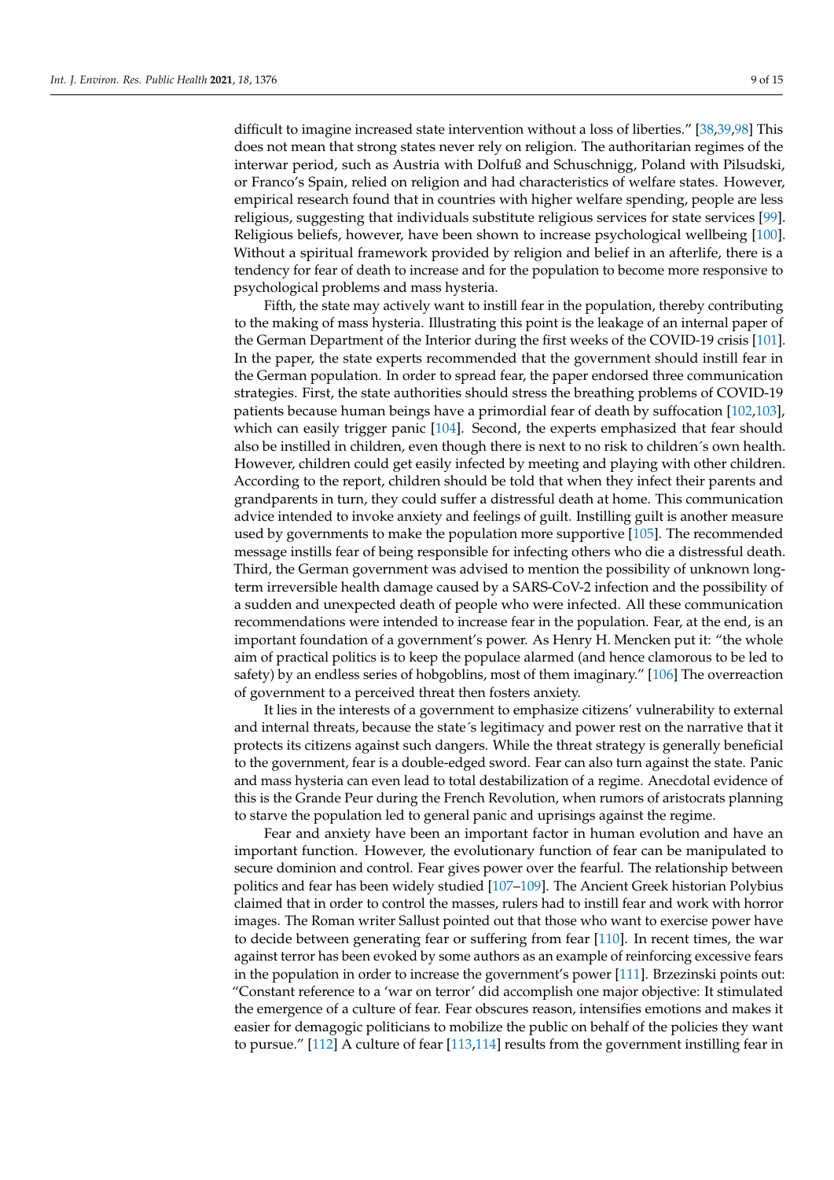difficult to imagine increased state intervention without a loss of liberties." [\[38,](#page-12-8)[39,](#page-12-9)[98\]](#page-13-36) This does not mean that strong states never rely on religion. The authoritarian regimes of the interwar period, such as Austria with Dolfuß and Schuschnigg, Poland with Pilsudski, or Franco's Spain, relied on religion and had characteristics of welfare states. However, empirical research found that in countries with higher welfare spending, people are less religious, suggesting that individuals substitute religious services for state services [\[99\]](#page-13-37). Religious beliefs, however, have been shown to increase psychological wellbeing [\[100\]](#page-13-38). Without a spiritual framework provided by religion and belief in an afterlife, there is a tendency for fear of death to increase and for the population to become more responsive to psychological problems and mass hysteria.

Fifth, the state may actively want to instill fear in the population, thereby contributing to the making of mass hysteria. Illustrating this point is the leakage of an internal paper of the German Department of the Interior during the first weeks of the COVID-19 crisis [\[101\]](#page-14-0). In the paper, the state experts recommended that the government should instill fear in the German population. In order to spread fear, the paper endorsed three communication strategies. First, the state authorities should stress the breathing problems of COVID-19 patients because human beings have a primordial fear of death by suffocation [\[102,](#page-14-1)[103\]](#page-14-2), which can easily trigger panic [\[104\]](#page-14-3). Second, the experts emphasized that fear should also be instilled in children, even though there is next to no risk to children´s own health. However, children could get easily infected by meeting and playing with other children. According to the report, children should be told that when they infect their parents and grandparents in turn, they could suffer a distressful death at home. This communication advice intended to invoke anxiety and feelings of guilt. Instilling guilt is another measure used by governments to make the population more supportive [\[105\]](#page-14-4). The recommended message instills fear of being responsible for infecting others who die a distressful death. Third, the German government was advised to mention the possibility of unknown longterm irreversible health damage caused by a SARS-CoV-2 infection and the possibility of a sudden and unexpected death of people who were infected. All these communication recommendations were intended to increase fear in the population. Fear, at the end, is an important foundation of a government's power. As Henry H. Mencken put it: "the whole aim of practical politics is to keep the populace alarmed (and hence clamorous to be led to safety) by an endless series of hobgoblins, most of them imaginary." [\[106\]](#page-14-5) The overreaction of government to a perceived threat then fosters anxiety.

It lies in the interests of a government to emphasize citizens' vulnerability to external and internal threats, because the state´s legitimacy and power rest on the narrative that it protects its citizens against such dangers. While the threat strategy is generally beneficial to the government, fear is a double-edged sword. Fear can also turn against the state. Panic and mass hysteria can even lead to total destabilization of a regime. Anecdotal evidence of this is the Grande Peur during the French Revolution, when rumors of aristocrats planning to starve the population led to general panic and uprisings against the regime.

Fear and anxiety have been an important factor in human evolution and have an important function. However, the evolutionary function of fear can be manipulated to secure dominion and control. Fear gives power over the fearful. The relationship between politics and fear has been widely studied [\[107–](#page-14-6)[109\]](#page-14-7). The Ancient Greek historian Polybius claimed that in order to control the masses, rulers had to instill fear and work with horror images. The Roman writer Sallust pointed out that those who want to exercise power have to decide between generating fear or suffering from fear [\[110\]](#page-14-8). In recent times, the war against terror has been evoked by some authors as an example of reinforcing excessive fears in the population in order to increase the government's power [\[111\]](#page-14-9). Brzezinski points out: "Constant reference to a 'war on terror' did accomplish one major objective: It stimulated the emergence of a culture of fear. Fear obscures reason, intensifies emotions and makes it easier for demagogic politicians to mobilize the public on behalf of the policies they want to pursue." [\[112\]](#page-14-10) A culture of fear [\[113,](#page-14-11)[114\]](#page-14-12) results from the government instilling fear in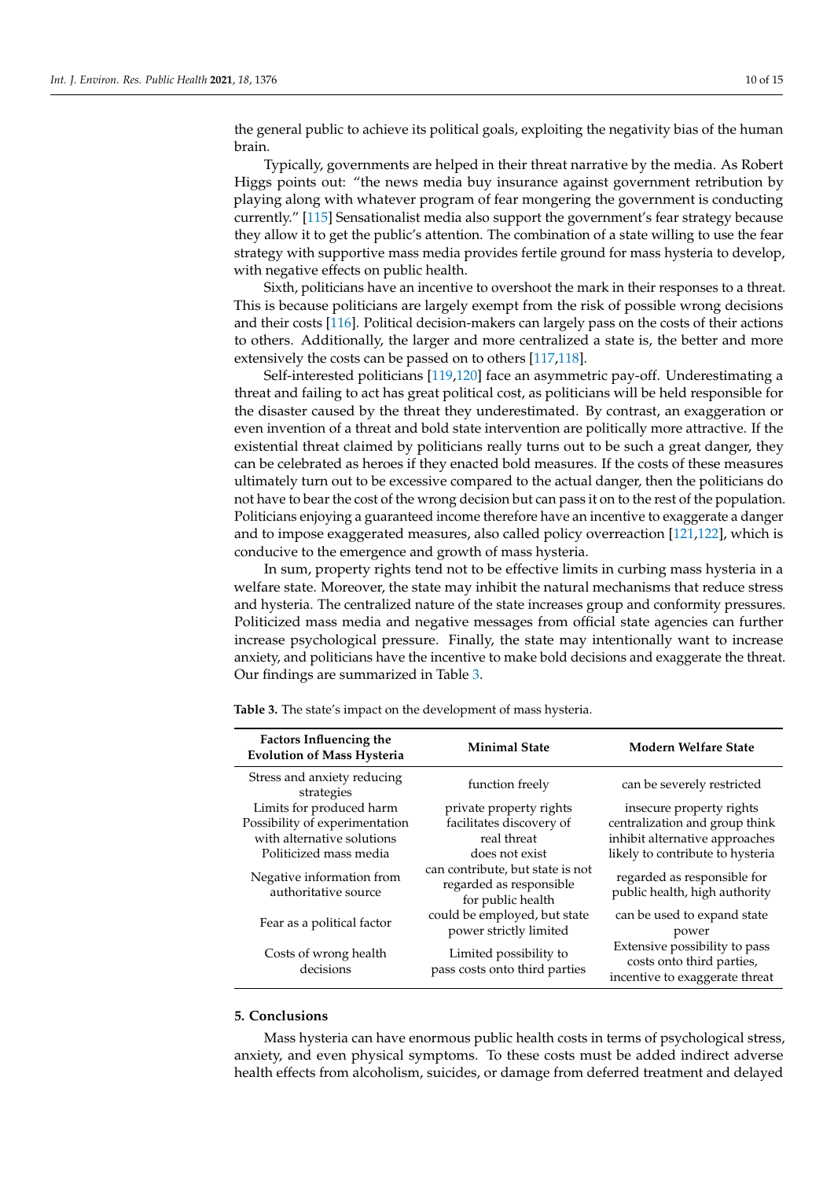the general public to achieve its political goals, exploiting the negativity bias of the human brain.

Typically, governments are helped in their threat narrative by the media. As Robert Higgs points out: "the news media buy insurance against government retribution by playing along with whatever program of fear mongering the government is conducting currently." [\[115\]](#page-14-13) Sensationalist media also support the government's fear strategy because they allow it to get the public's attention. The combination of a state willing to use the fear strategy with supportive mass media provides fertile ground for mass hysteria to develop, with negative effects on public health.

Sixth, politicians have an incentive to overshoot the mark in their responses to a threat. This is because politicians are largely exempt from the risk of possible wrong decisions and their costs [\[116\]](#page-14-14). Political decision-makers can largely pass on the costs of their actions to others. Additionally, the larger and more centralized a state is, the better and more extensively the costs can be passed on to others [\[117,](#page-14-15)[118\]](#page-14-16).

Self-interested politicians [\[119](#page-14-17)[,120\]](#page-14-18) face an asymmetric pay-off. Underestimating a threat and failing to act has great political cost, as politicians will be held responsible for the disaster caused by the threat they underestimated. By contrast, an exaggeration or even invention of a threat and bold state intervention are politically more attractive. If the existential threat claimed by politicians really turns out to be such a great danger, they can be celebrated as heroes if they enacted bold measures. If the costs of these measures ultimately turn out to be excessive compared to the actual danger, then the politicians do not have to bear the cost of the wrong decision but can pass it on to the rest of the population. Politicians enjoying a guaranteed income therefore have an incentive to exaggerate a danger and to impose exaggerated measures, also called policy overreaction [\[121,](#page-14-19)[122\]](#page-14-20), which is conducive to the emergence and growth of mass hysteria.

In sum, property rights tend not to be effective limits in curbing mass hysteria in a welfare state. Moreover, the state may inhibit the natural mechanisms that reduce stress and hysteria. The centralized nature of the state increases group and conformity pressures. Politicized mass media and negative messages from official state agencies can further increase psychological pressure. Finally, the state may intentionally want to increase anxiety, and politicians have the incentive to make bold decisions and exaggerate the threat. Our findings are summarized in Table [3.](#page-9-0)

| <b>Factors Influencing the</b><br><b>Evolution of Mass Hysteria</b> | <b>Minimal State</b>                                                             | <b>Modern Welfare State</b>                                                                  |
|---------------------------------------------------------------------|----------------------------------------------------------------------------------|----------------------------------------------------------------------------------------------|
| Stress and anxiety reducing<br>strategies                           | function freely                                                                  | can be severely restricted                                                                   |
| Limits for produced harm                                            | private property rights                                                          | insecure property rights                                                                     |
| Possibility of experimentation                                      | facilitates discovery of                                                         | centralization and group think                                                               |
| with alternative solutions                                          | real threat                                                                      | inhibit alternative approaches                                                               |
| Politicized mass media                                              | does not exist                                                                   | likely to contribute to hysteria                                                             |
| Negative information from<br>authoritative source                   | can contribute, but state is not<br>regarded as responsible<br>for public health | regarded as responsible for<br>public health, high authority                                 |
| Fear as a political factor                                          | could be employed, but state<br>power strictly limited                           | can be used to expand state<br>power                                                         |
| Costs of wrong health<br>decisions                                  | Limited possibility to<br>pass costs onto third parties                          | Extensive possibility to pass<br>costs onto third parties,<br>incentive to exaggerate threat |

<span id="page-9-0"></span>**Table 3.** The state's impact on the development of mass hysteria.

# **5. Conclusions**

Mass hysteria can have enormous public health costs in terms of psychological stress, anxiety, and even physical symptoms. To these costs must be added indirect adverse health effects from alcoholism, suicides, or damage from deferred treatment and delayed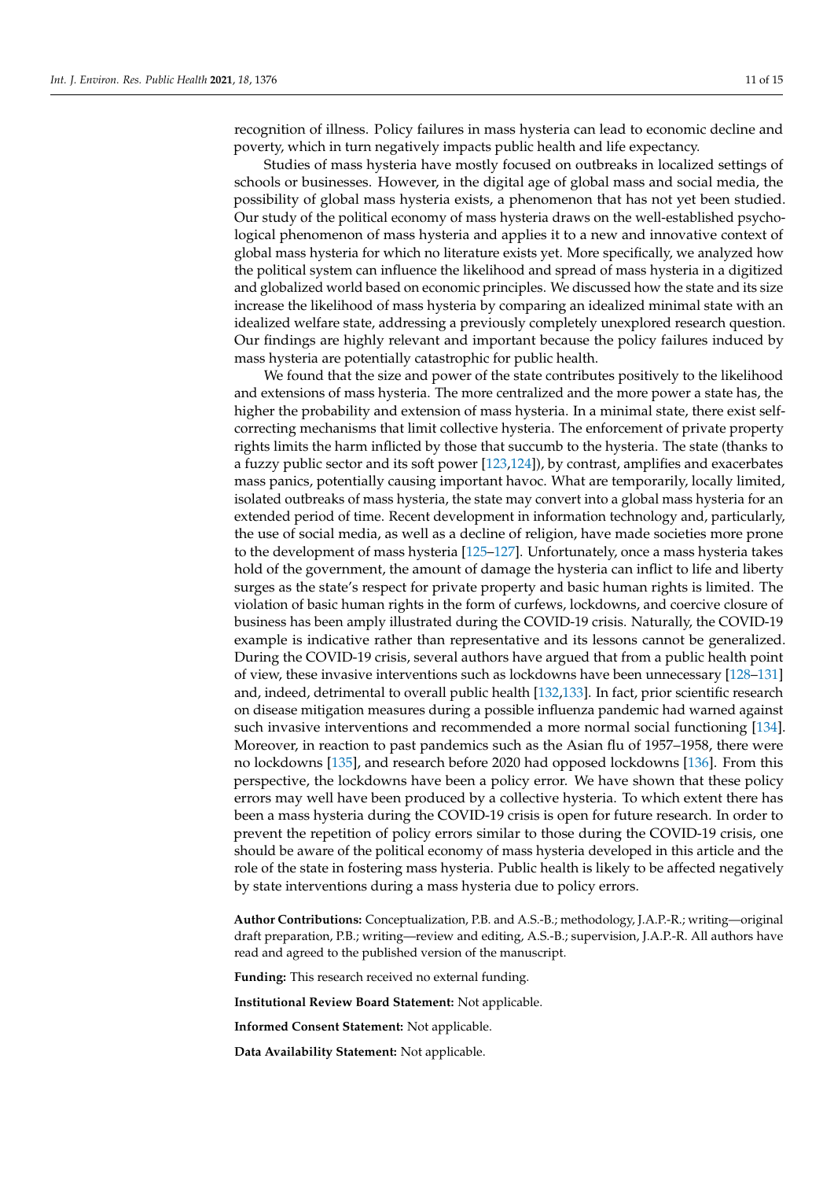recognition of illness. Policy failures in mass hysteria can lead to economic decline and poverty, which in turn negatively impacts public health and life expectancy.

Studies of mass hysteria have mostly focused on outbreaks in localized settings of schools or businesses. However, in the digital age of global mass and social media, the possibility of global mass hysteria exists, a phenomenon that has not yet been studied. Our study of the political economy of mass hysteria draws on the well-established psychological phenomenon of mass hysteria and applies it to a new and innovative context of global mass hysteria for which no literature exists yet. More specifically, we analyzed how the political system can influence the likelihood and spread of mass hysteria in a digitized and globalized world based on economic principles. We discussed how the state and its size increase the likelihood of mass hysteria by comparing an idealized minimal state with an idealized welfare state, addressing a previously completely unexplored research question. Our findings are highly relevant and important because the policy failures induced by mass hysteria are potentially catastrophic for public health.

We found that the size and power of the state contributes positively to the likelihood and extensions of mass hysteria. The more centralized and the more power a state has, the higher the probability and extension of mass hysteria. In a minimal state, there exist selfcorrecting mechanisms that limit collective hysteria. The enforcement of private property rights limits the harm inflicted by those that succumb to the hysteria. The state (thanks to a fuzzy public sector and its soft power [\[123,](#page-14-21)[124\]](#page-14-22)), by contrast, amplifies and exacerbates mass panics, potentially causing important havoc. What are temporarily, locally limited, isolated outbreaks of mass hysteria, the state may convert into a global mass hysteria for an extended period of time. Recent development in information technology and, particularly, the use of social media, as well as a decline of religion, have made societies more prone to the development of mass hysteria [\[125–](#page-14-23)[127\]](#page-14-24). Unfortunately, once a mass hysteria takes hold of the government, the amount of damage the hysteria can inflict to life and liberty surges as the state's respect for private property and basic human rights is limited. The violation of basic human rights in the form of curfews, lockdowns, and coercive closure of business has been amply illustrated during the COVID-19 crisis. Naturally, the COVID-19 example is indicative rather than representative and its lessons cannot be generalized. During the COVID-19 crisis, several authors have argued that from a public health point of view, these invasive interventions such as lockdowns have been unnecessary [\[128](#page-14-25)[–131\]](#page-14-26) and, indeed, detrimental to overall public health [\[132,](#page-14-27)[133\]](#page-14-28). In fact, prior scientific research on disease mitigation measures during a possible influenza pandemic had warned against such invasive interventions and recommended a more normal social functioning [\[134\]](#page-14-29). Moreover, in reaction to past pandemics such as the Asian flu of 1957–1958, there were no lockdowns [\[135\]](#page-14-30), and research before 2020 had opposed lockdowns [\[136\]](#page-14-31). From this perspective, the lockdowns have been a policy error. We have shown that these policy errors may well have been produced by a collective hysteria. To which extent there has been a mass hysteria during the COVID-19 crisis is open for future research. In order to prevent the repetition of policy errors similar to those during the COVID-19 crisis, one should be aware of the political economy of mass hysteria developed in this article and the role of the state in fostering mass hysteria. Public health is likely to be affected negatively by state interventions during a mass hysteria due to policy errors.

**Author Contributions:** Conceptualization, P.B. and A.S.-B.; methodology, J.A.P.-R.; writing—original draft preparation, P.B.; writing—review and editing, A.S.-B.; supervision, J.A.P.-R. All authors have read and agreed to the published version of the manuscript.

**Funding:** This research received no external funding.

**Institutional Review Board Statement:** Not applicable.

**Informed Consent Statement:** Not applicable.

**Data Availability Statement:** Not applicable.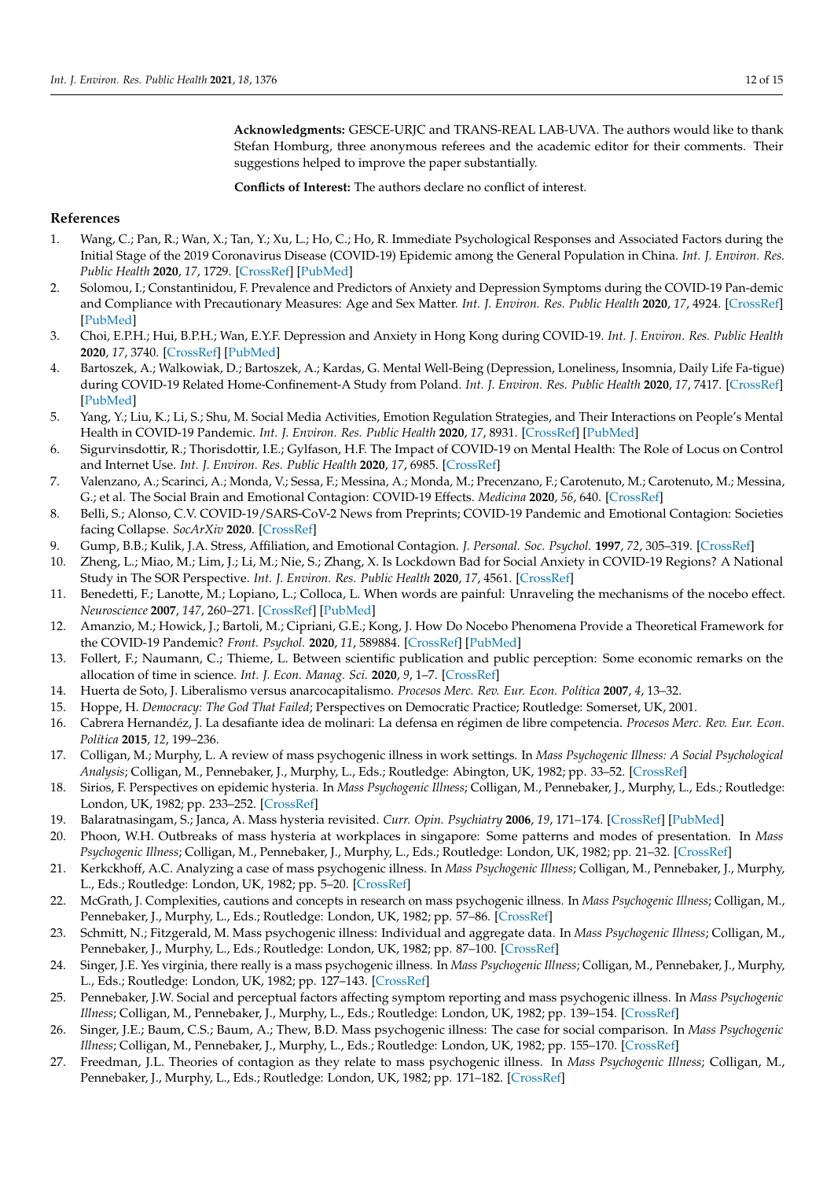**Acknowledgments:** GESCE-URJC and TRANS-REAL LAB-UVA. The authors would like to thank Stefan Homburg, three anonymous referees and the academic editor for their comments. Their suggestions helped to improve the paper substantially.

**Conflicts of Interest:** The authors declare no conflict of interest.

## **References**

- <span id="page-11-0"></span>1. Wang, C.; Pan, R.; Wan, X.; Tan, Y.; Xu, L.; Ho, C.; Ho, R. Immediate Psychological Responses and Associated Factors during the Initial Stage of the 2019 Coronavirus Disease (COVID-19) Epidemic among the General Population in China. *Int. J. Environ. Res. Public Health* **2020**, *17*, 1729. [\[CrossRef\]](http://doi.org/10.3390/ijerph17051729) [\[PubMed\]](http://www.ncbi.nlm.nih.gov/pubmed/32155789)
- 2. Solomou, I.; Constantinidou, F. Prevalence and Predictors of Anxiety and Depression Symptoms during the COVID-19 Pan-demic and Compliance with Precautionary Measures: Age and Sex Matter. *Int. J. Environ. Res. Public Health* **2020**, *17*, 4924. [\[CrossRef\]](http://doi.org/10.3390/ijerph17144924) [\[PubMed\]](http://www.ncbi.nlm.nih.gov/pubmed/32650522)
- 3. Choi, E.P.H.; Hui, B.P.H.; Wan, E.Y.F. Depression and Anxiety in Hong Kong during COVID-19. *Int. J. Environ. Res. Public Health* **2020**, *17*, 3740. [\[CrossRef\]](http://doi.org/10.3390/ijerph17103740) [\[PubMed\]](http://www.ncbi.nlm.nih.gov/pubmed/32466251)
- <span id="page-11-1"></span>4. Bartoszek, A.; Walkowiak, D.; Bartoszek, A.; Kardas, G. Mental Well-Being (Depression, Loneliness, Insomnia, Daily Life Fa-tigue) during COVID-19 Related Home-Confinement-A Study from Poland. *Int. J. Environ. Res. Public Health* **2020**, *17*, 7417. [\[CrossRef\]](http://doi.org/10.3390/ijerph17207417) [\[PubMed\]](http://www.ncbi.nlm.nih.gov/pubmed/33053787)
- <span id="page-11-2"></span>5. Yang, Y.; Liu, K.; Li, S.; Shu, M. Social Media Activities, Emotion Regulation Strategies, and Their Interactions on People's Mental Health in COVID-19 Pandemic. *Int. J. Environ. Res. Public Health* **2020**, *17*, 8931. [\[CrossRef\]](http://doi.org/10.3390/ijerph17238931) [\[PubMed\]](http://www.ncbi.nlm.nih.gov/pubmed/33271779)
- <span id="page-11-3"></span>6. Sigurvinsdottir, R.; Thorisdottir, I.E.; Gylfason, H.F. The Impact of COVID-19 on Mental Health: The Role of Locus on Control and Internet Use. *Int. J. Environ. Res. Public Health* **2020**, *17*, 6985. [\[CrossRef\]](http://doi.org/10.3390/ijerph17196985)
- <span id="page-11-4"></span>7. Valenzano, A.; Scarinci, A.; Monda, V.; Sessa, F.; Messina, A.; Monda, M.; Precenzano, F.; Carotenuto, M.; Carotenuto, M.; Messina, G.; et al. The Social Brain and Emotional Contagion: COVID-19 Effects. *Medicina* **2020**, *56*, 640. [\[CrossRef\]](http://doi.org/10.3390/medicina56120640)
- <span id="page-11-5"></span>8. Belli, S.; Alonso, C.V. COVID-19/SARS-CoV-2 News from Preprints; COVID-19 Pandemic and Emotional Contagion: Societies facing Collapse. *SocArXiv* **2020**. [\[CrossRef\]](http://doi.org/10.31235/osf.io/gdbw6)
- <span id="page-11-6"></span>9. Gump, B.B.; Kulik, J.A. Stress, Affiliation, and Emotional Contagion. *J. Personal. Soc. Psychol.* **1997**, *72*, 305–319. [\[CrossRef\]](http://doi.org/10.1037/0022-3514.72.2.305)
- <span id="page-11-7"></span>10. Zheng, L.; Miao, M.; Lim, J.; Li, M.; Nie, S.; Zhang, X. Is Lockdown Bad for Social Anxiety in COVID-19 Regions? A National Study in The SOR Perspective. *Int. J. Environ. Res. Public Health* **2020**, *17*, 4561. [\[CrossRef\]](http://doi.org/10.3390/ijerph17124561)
- <span id="page-11-8"></span>11. Benedetti, F.; Lanotte, M.; Lopiano, L.; Colloca, L. When words are painful: Unraveling the mechanisms of the nocebo effect. *Neuroscience* **2007**, *147*, 260–271. [\[CrossRef\]](http://doi.org/10.1016/j.neuroscience.2007.02.020) [\[PubMed\]](http://www.ncbi.nlm.nih.gov/pubmed/17379417)
- <span id="page-11-9"></span>12. Amanzio, M.; Howick, J.; Bartoli, M.; Cipriani, G.E.; Kong, J. How Do Nocebo Phenomena Provide a Theoretical Framework for the COVID-19 Pandemic? *Front. Psychol.* **2020**, *11*, 589884. [\[CrossRef\]](http://doi.org/10.3389/fpsyg.2020.589884) [\[PubMed\]](http://www.ncbi.nlm.nih.gov/pubmed/33192929)
- <span id="page-11-10"></span>13. Follert, F.; Naumann, C.; Thieme, L. Between scientific publication and public perception: Some economic remarks on the allocation of time in science. *Int. J. Econ. Manag. Sci.* **2020**, *9*, 1–7. [\[CrossRef\]](http://doi.org/10.22028/d291-32411)
- <span id="page-11-11"></span>14. Huerta de Soto, J. Liberalismo versus anarcocapitalismo. *Procesos Merc. Rev. Eur. Econ. Política* **2007**, *4*, 13–32.
- 15. Hoppe, H. *Democracy: The God That Failed*; Perspectives on Democratic Practice; Routledge: Somerset, UK, 2001.
- <span id="page-11-12"></span>16. Cabrera Hernandéz, J. La desafiante idea de molinari: La defensa en régimen de libre competencia. *Procesos Merc. Rev. Eur. Econ. Política* **2015**, *12*, 199–236.
- <span id="page-11-13"></span>17. Colligan, M.; Murphy, L. A review of mass psychogenic illness in work settings. In *Mass Psychogenic Illness: A Social Psychological Analysis*; Colligan, M., Pennebaker, J., Murphy, L., Eds.; Routledge: Abington, UK, 1982; pp. 33–52. [\[CrossRef\]](http://doi.org/10.4324/9781315825694-9)
- <span id="page-11-14"></span>18. Sirios, F. Perspectives on epidemic hysteria. In *Mass Psychogenic Illness*; Colligan, M., Pennebaker, J., Murphy, L., Eds.; Routledge: London, UK, 1982; pp. 233–252. [\[CrossRef\]](http://doi.org/10.4324/9781315825694-21)
- <span id="page-11-15"></span>19. Balaratnasingam, S.; Janca, A. Mass hysteria revisited. *Curr. Opin. Psychiatry* **2006**, *19*, 171–174. [\[CrossRef\]](http://doi.org/10.1097/01.yco.0000214343.59872.7a) [\[PubMed\]](http://www.ncbi.nlm.nih.gov/pubmed/16612198)
- <span id="page-11-16"></span>20. Phoon, W.H. Outbreaks of mass hysteria at workplaces in singapore: Some patterns and modes of presentation. In *Mass Psychogenic Illness*; Colligan, M., Pennebaker, J., Murphy, L., Eds.; Routledge: London, UK, 1982; pp. 21–32. [\[CrossRef\]](http://doi.org/10.4324/9781315825694-8)
- <span id="page-11-17"></span>21. Kerkckhoff, A.C. Analyzing a case of mass psychogenic illness. In *Mass Psychogenic Illness*; Colligan, M., Pennebaker, J., Murphy, L., Eds.; Routledge: London, UK, 1982; pp. 5–20. [\[CrossRef\]](http://doi.org/10.4324/9781315825694-7)
- <span id="page-11-18"></span>22. McGrath, J. Complexities, cautions and concepts in research on mass psychogenic illness. In *Mass Psychogenic Illness*; Colligan, M., Pennebaker, J., Murphy, L., Eds.; Routledge: London, UK, 1982; pp. 57–86. [\[CrossRef\]](http://doi.org/10.4324/9781315825694-11)
- <span id="page-11-19"></span>23. Schmitt, N.; Fitzgerald, M. Mass psychogenic illness: Individual and aggregate data. In *Mass Psychogenic Illness*; Colligan, M., Pennebaker, J., Murphy, L., Eds.; Routledge: London, UK, 1982; pp. 87–100. [\[CrossRef\]](http://doi.org/10.4324/9781315825694-12)
- <span id="page-11-20"></span>24. Singer, J.E. Yes virginia, there really is a mass psychogenic illness. In *Mass Psychogenic Illness*; Colligan, M., Pennebaker, J., Murphy, L., Eds.; Routledge: London, UK, 1982; pp. 127–143. [\[CrossRef\]](http://doi.org/10.4324/9781315825694-14)
- <span id="page-11-21"></span>25. Pennebaker, J.W. Social and perceptual factors affecting symptom reporting and mass psychogenic illness. In *Mass Psychogenic Illness*; Colligan, M., Pennebaker, J., Murphy, L., Eds.; Routledge: London, UK, 1982; pp. 139–154. [\[CrossRef\]](http://doi.org/10.4324/9781315825694-16)
- <span id="page-11-22"></span>26. Singer, J.E.; Baum, C.S.; Baum, A.; Thew, B.D. Mass psychogenic illness: The case for social comparison. In *Mass Psychogenic Illness*; Colligan, M., Pennebaker, J., Murphy, L., Eds.; Routledge: London, UK, 1982; pp. 155–170. [\[CrossRef\]](http://doi.org/10.4324/9781315825694-17)
- <span id="page-11-23"></span>27. Freedman, J.L. Theories of contagion as they relate to mass psychogenic illness. In *Mass Psychogenic Illness*; Colligan, M., Pennebaker, J., Murphy, L., Eds.; Routledge: London, UK, 1982; pp. 171–182. [\[CrossRef\]](http://doi.org/10.4324/9781315825694-18)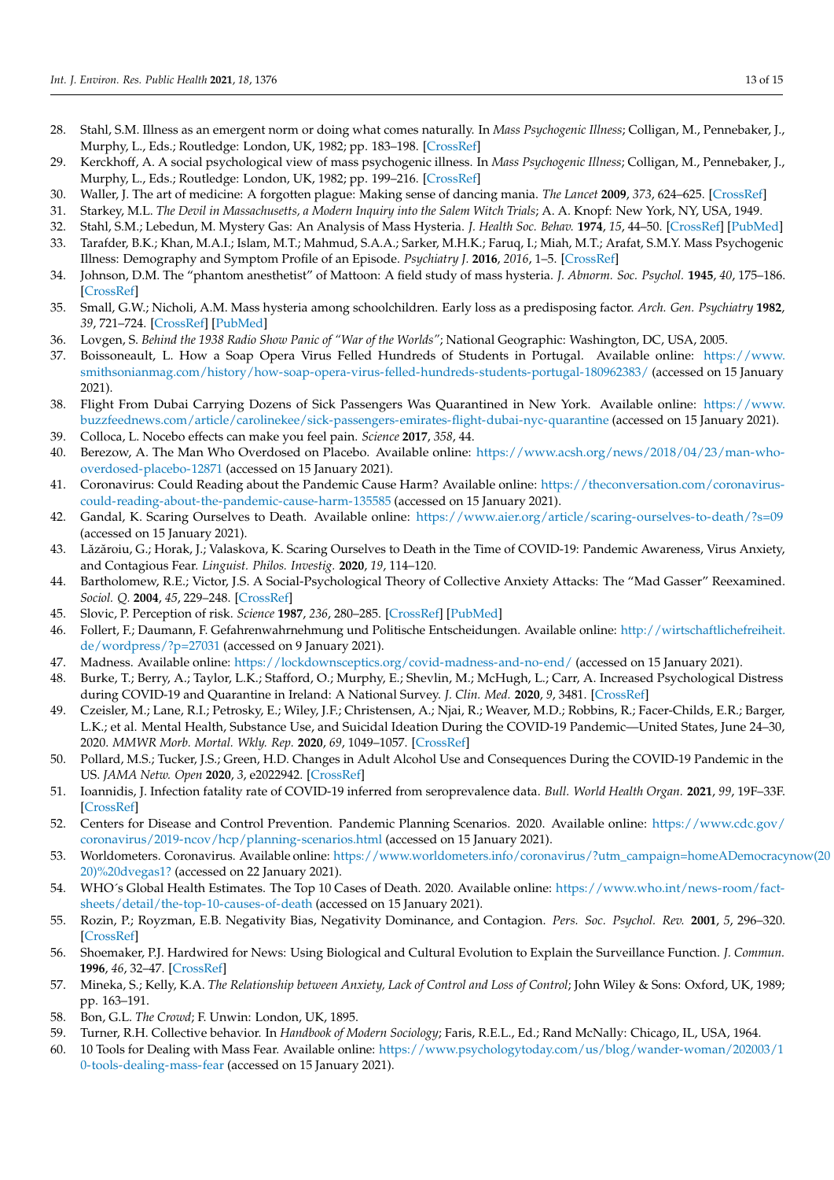- <span id="page-12-0"></span>28. Stahl, S.M. Illness as an emergent norm or doing what comes naturally. In *Mass Psychogenic Illness*; Colligan, M., Pennebaker, J., Murphy, L., Eds.; Routledge: London, UK, 1982; pp. 183–198. [\[CrossRef\]](http://doi.org/10.4324/9781315825694-19)
- <span id="page-12-1"></span>29. Kerckhoff, A. A social psychological view of mass psychogenic illness. In *Mass Psychogenic Illness*; Colligan, M., Pennebaker, J., Murphy, L., Eds.; Routledge: London, UK, 1982; pp. 199–216. [\[CrossRef\]](http://doi.org/10.4324/9781315825694-20)
- <span id="page-12-2"></span>30. Waller, J. The art of medicine: A forgotten plague: Making sense of dancing mania. *The Lancet* **2009**, *373*, 624–625. [\[CrossRef\]](http://doi.org/10.1016/S0140-6736(09)60386-X)
- <span id="page-12-3"></span>31. Starkey, M.L. *The Devil in Massachusetts, a Modern Inquiry into the Salem Witch Trials*; A. A. Knopf: New York, NY, USA, 1949.
- <span id="page-12-4"></span>32. Stahl, S.M.; Lebedun, M. Mystery Gas: An Analysis of Mass Hysteria. *J. Health Soc. Behav.* **1974**, *15*, 44–50. [\[CrossRef\]](http://doi.org/10.2307/2136925) [\[PubMed\]](http://www.ncbi.nlm.nih.gov/pubmed/4464323)
- 33. Tarafder, B.K.; Khan, M.A.I.; Islam, M.T.; Mahmud, S.A.A.; Sarker, M.H.K.; Faruq, I.; Miah, M.T.; Arafat, S.M.Y. Mass Psychogenic Illness: Demography and Symptom Profile of an Episode. *Psychiatry J.* **2016**, *2016*, 1–5. [\[CrossRef\]](http://doi.org/10.1155/2016/2810143)
- 34. Johnson, D.M. The "phantom anesthetist" of Mattoon: A field study of mass hysteria. *J. Abnorm. Soc. Psychol.* **1945**, *40*, 175–186. [\[CrossRef\]](http://doi.org/10.1037/h0062339)
- <span id="page-12-5"></span>35. Small, G.W.; Nicholi, A.M. Mass hysteria among schoolchildren. Early loss as a predisposing factor. *Arch. Gen. Psychiatry* **1982**, *39*, 721–724. [\[CrossRef\]](http://doi.org/10.1001/archpsyc.1982.04290060065013) [\[PubMed\]](http://www.ncbi.nlm.nih.gov/pubmed/7092505)
- <span id="page-12-6"></span>36. Lovgen, S. *Behind the 1938 Radio Show Panic of "War of the Worlds"*; National Geographic: Washington, DC, USA, 2005.
- <span id="page-12-7"></span>37. Boissoneault, L. How a Soap Opera Virus Felled Hundreds of Students in Portugal. Available online: [https://www.](https://www.smithsonianmag.com/history/how-soap-opera-virus-felled-hundreds-students-portugal-180962383/) [smithsonianmag.com/history/how-soap-opera-virus-felled-hundreds-students-portugal-180962383/](https://www.smithsonianmag.com/history/how-soap-opera-virus-felled-hundreds-students-portugal-180962383/) (accessed on 15 January 2021).
- <span id="page-12-8"></span>38. Flight From Dubai Carrying Dozens of Sick Passengers Was Quarantined in New York. Available online: [https://www.](https://www.buzzfeednews.com/article/carolinekee/sick-passengers-emirates-flight-dubai-nyc-quarantine) [buzzfeednews.com/article/carolinekee/sick-passengers-emirates-flight-dubai-nyc-quarantine](https://www.buzzfeednews.com/article/carolinekee/sick-passengers-emirates-flight-dubai-nyc-quarantine) (accessed on 15 January 2021).
- <span id="page-12-9"></span>39. Colloca, L. Nocebo effects can make you feel pain. *Science* **2017**, *358*, 44.
- <span id="page-12-10"></span>40. Berezow, A. The Man Who Overdosed on Placebo. Available online: [https://www.acsh.org/news/2018/04/23/man-who](https://www.acsh.org/news/2018/04/23/man-who-overdosed-placebo-12871)[overdosed-placebo-12871](https://www.acsh.org/news/2018/04/23/man-who-overdosed-placebo-12871) (accessed on 15 January 2021).
- <span id="page-12-11"></span>41. Coronavirus: Could Reading about the Pandemic Cause Harm? Available online: [https://theconversation.com/coronavirus](https://theconversation.com/coronavirus-could-reading-about-the-pandemic-cause-harm-135585)[could-reading-about-the-pandemic-cause-harm-135585](https://theconversation.com/coronavirus-could-reading-about-the-pandemic-cause-harm-135585) (accessed on 15 January 2021).
- <span id="page-12-12"></span>42. Gandal, K. Scaring Ourselves to Death. Available online: <https://www.aier.org/article/scaring-ourselves-to-death/?s=09> (accessed on 15 January 2021).
- <span id="page-12-13"></span>43. Lăzăroiu, G.; Horak, J.; Valaskova, K. Scaring Ourselves to Death in the Time of COVID-19: Pandemic Awareness, Virus Anxiety, and Contagious Fear. *Linguist. Philos. Investig.* **2020**, *19*, 114–120.
- <span id="page-12-14"></span>44. Bartholomew, R.E.; Victor, J.S. A Social-Psychological Theory of Collective Anxiety Attacks: The "Mad Gasser" Reexamined. *Sociol. Q.* **2004**, *45*, 229–248. [\[CrossRef\]](http://doi.org/10.1111/j.1533-8525.2004.tb00011.x)
- <span id="page-12-15"></span>45. Slovic, P. Perception of risk. *Science* **1987**, *236*, 280–285. [\[CrossRef\]](http://doi.org/10.1126/science.3563507) [\[PubMed\]](http://www.ncbi.nlm.nih.gov/pubmed/3563507)
- <span id="page-12-16"></span>46. Follert, F.; Daumann, F. Gefahrenwahrnehmung und Politische Entscheidungen. Available online: [http://wirtschaftlichefreiheit.](http://wirtschaftlichefreiheit.de/wordpress/?p=27031) [de/wordpress/?p=27031](http://wirtschaftlichefreiheit.de/wordpress/?p=27031) (accessed on 9 January 2021).
- <span id="page-12-17"></span>47. Madness. Available online: <https://lockdownsceptics.org/covid-madness-and-no-end/> (accessed on 15 January 2021).
- <span id="page-12-18"></span>48. Burke, T.; Berry, A.; Taylor, L.K.; Stafford, O.; Murphy, E.; Shevlin, M.; McHugh, L.; Carr, A. Increased Psychological Distress during COVID-19 and Quarantine in Ireland: A National Survey. *J. Clin. Med.* **2020**, *9*, 3481. [\[CrossRef\]](http://doi.org/10.3390/jcm9113481)
- <span id="page-12-19"></span>49. Czeisler, M.; Lane, R.I.; Petrosky, E.; Wiley, J.F.; Christensen, A.; Njai, R.; Weaver, M.D.; Robbins, R.; Facer-Childs, E.R.; Barger, L.K.; et al. Mental Health, Substance Use, and Suicidal Ideation During the COVID-19 Pandemic—United States, June 24–30, 2020. *MMWR Morb. Mortal. Wkly. Rep.* **2020**, *69*, 1049–1057. [\[CrossRef\]](http://doi.org/10.15585/mmwr.mm6932a1)
- <span id="page-12-20"></span>50. Pollard, M.S.; Tucker, J.S.; Green, H.D. Changes in Adult Alcohol Use and Consequences During the COVID-19 Pandemic in the US. *JAMA Netw. Open* **2020**, *3*, e2022942. [\[CrossRef\]](http://doi.org/10.1001/jamanetworkopen.2020.22942)
- <span id="page-12-21"></span>51. Ioannidis, J. Infection fatality rate of COVID-19 inferred from seroprevalence data. *Bull. World Health Organ.* **2021**, *99*, 19F–33F. [\[CrossRef\]](http://doi.org/10.2471/BLT.20.265892)
- <span id="page-12-22"></span>52. Centers for Disease and Control Prevention. Pandemic Planning Scenarios. 2020. Available online: [https://www.cdc.gov/](https://www.cdc.gov/coronavirus/2019-ncov/hcp/planning-scenarios.html) [coronavirus/2019-ncov/hcp/planning-scenarios.html](https://www.cdc.gov/coronavirus/2019-ncov/hcp/planning-scenarios.html) (accessed on 15 January 2021).
- <span id="page-12-23"></span>53. Worldometers. Coronavirus. Available online: [https://www.worldometers.info/coronavirus/?utm\\_campaign=homeADemocracy](https://www.worldometers.info/coronavirus/?utm_campaign=homeADemocracynow(2020)%20dvegas1?)now(20 [20\)%20dvegas1?](https://www.worldometers.info/coronavirus/?utm_campaign=homeADemocracynow(2020)%20dvegas1?) (accessed on 22 January 2021).
- <span id="page-12-24"></span>54. WHO´s Global Health Estimates. The Top 10 Cases of Death. 2020. Available online: [https://www.who.int/news-room/fact](https://www.who.int/news-room/fact-sheets/detail/the-top-10-causes-of-death)[sheets/detail/the-top-10-causes-of-death](https://www.who.int/news-room/fact-sheets/detail/the-top-10-causes-of-death) (accessed on 15 January 2021).
- <span id="page-12-25"></span>55. Rozin, P.; Royzman, E.B. Negativity Bias, Negativity Dominance, and Contagion. *Pers. Soc. Psychol. Rev.* **2001**, *5*, 296–320. [\[CrossRef\]](http://doi.org/10.1207/S15327957PSPR0504_2)
- <span id="page-12-26"></span>56. Shoemaker, P.J. Hardwired for News: Using Biological and Cultural Evolution to Explain the Surveillance Function. *J. Commun.* **1996**, *46*, 32–47. [\[CrossRef\]](http://doi.org/10.1111/j.1460-2466.1996.tb01487.x)
- <span id="page-12-27"></span>57. Mineka, S.; Kelly, K.A. *The Relationship between Anxiety, Lack of Control and Loss of Control*; John Wiley & Sons: Oxford, UK, 1989; pp. 163–191.
- <span id="page-12-28"></span>58. Bon, G.L. *The Crowd*; F. Unwin: London, UK, 1895.
- <span id="page-12-29"></span>59. Turner, R.H. Collective behavior. In *Handbook of Modern Sociology*; Faris, R.E.L., Ed.; Rand McNally: Chicago, IL, USA, 1964.
- <span id="page-12-30"></span>60. 10 Tools for Dealing with Mass Fear. Available online: [https://www.psychologytoday.com/us/blog/wander-woman/202003/1](https://www.psychologytoday.com/us/blog/wander-woman/202003/10-tools-dealing-mass-fear) [0-tools-dealing-mass-fear](https://www.psychologytoday.com/us/blog/wander-woman/202003/10-tools-dealing-mass-fear) (accessed on 15 January 2021).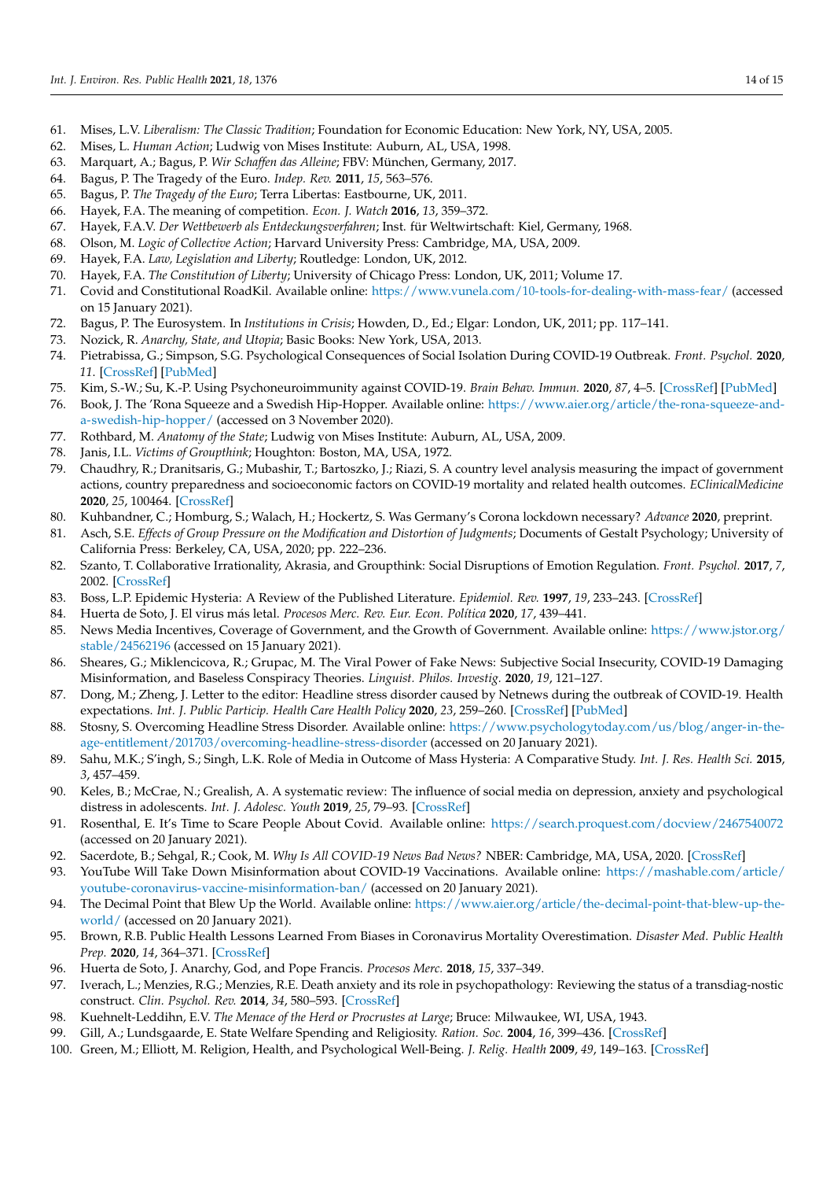- <span id="page-13-0"></span>61. Mises, L.V. *Liberalism: The Classic Tradition*; Foundation for Economic Education: New York, NY, USA, 2005.
- <span id="page-13-1"></span>62. Mises, L. *Human Action*; Ludwig von Mises Institute: Auburn, AL, USA, 1998.
- <span id="page-13-2"></span>63. Marquart, A.; Bagus, P. *Wir Schaffen das Alleine*; FBV: München, Germany, 2017.
- 64. Bagus, P. The Tragedy of the Euro. *Indep. Rev.* **2011**, *15*, 563–576.
- <span id="page-13-3"></span>65. Bagus, P. *The Tragedy of the Euro*; Terra Libertas: Eastbourne, UK, 2011.
- <span id="page-13-4"></span>66. Hayek, F.A. The meaning of competition. *Econ. J. Watch* **2016**, *13*, 359–372.
- <span id="page-13-5"></span>67. Hayek, F.A.V. *Der Wettbewerb als Entdeckungsverfahren*; Inst. für Weltwirtschaft: Kiel, Germany, 1968.
- <span id="page-13-6"></span>68. Olson, M. *Logic of Collective Action*; Harvard University Press: Cambridge, MA, USA, 2009.
- <span id="page-13-7"></span>69. Hayek, F.A. *Law, Legislation and Liberty*; Routledge: London, UK, 2012.
- <span id="page-13-8"></span>70. Hayek, F.A. *The Constitution of Liberty*; University of Chicago Press: London, UK, 2011; Volume 17.
- <span id="page-13-9"></span>71. Covid and Constitutional RoadKil. Available online: <https://www.vunela.com/10-tools-for-dealing-with-mass-fear/> (accessed on 15 January 2021).
- <span id="page-13-10"></span>72. Bagus, P. The Eurosystem. In *Institutions in Crisis*; Howden, D., Ed.; Elgar: London, UK, 2011; pp. 117–141.
- <span id="page-13-11"></span>73. Nozick, R. *Anarchy, State, and Utopia*; Basic Books: New York, USA, 2013.
- <span id="page-13-12"></span>74. Pietrabissa, G.; Simpson, S.G. Psychological Consequences of Social Isolation During COVID-19 Outbreak. *Front. Psychol.* **2020**, *11*. [\[CrossRef\]](http://doi.org/10.3389/fpsyg.2020.02201) [\[PubMed\]](http://www.ncbi.nlm.nih.gov/pubmed/33013572)
- <span id="page-13-13"></span>75. Kim, S.-W.; Su, K.-P. Using Psychoneuroimmunity against COVID-19. *Brain Behav. Immun.* **2020**, *87*, 4–5. [\[CrossRef\]](http://doi.org/10.1016/j.bbi.2020.03.025) [\[PubMed\]](http://www.ncbi.nlm.nih.gov/pubmed/32234338)
- <span id="page-13-14"></span>76. Book, J. The 'Rona Squeeze and a Swedish Hip-Hopper. Available online: [https://www.aier.org/article/the-rona-squeeze-and](https://www.aier.org/article/the-rona-squeeze-and-a-swedish-hip-hopper/)[a-swedish-hip-hopper/](https://www.aier.org/article/the-rona-squeeze-and-a-swedish-hip-hopper/) (accessed on 3 November 2020).
- <span id="page-13-15"></span>77. Rothbard, M. *Anatomy of the State*; Ludwig von Mises Institute: Auburn, AL, USA, 2009.
- <span id="page-13-16"></span>78. Janis, I.L. *Victims of Groupthink*; Houghton: Boston, MA, USA, 1972.
- <span id="page-13-17"></span>79. Chaudhry, R.; Dranitsaris, G.; Mubashir, T.; Bartoszko, J.; Riazi, S. A country level analysis measuring the impact of government actions, country preparedness and socioeconomic factors on COVID-19 mortality and related health outcomes. *EClinicalMedicine* **2020**, *25*, 100464. [\[CrossRef\]](http://doi.org/10.1016/j.eclinm.2020.100464)
- <span id="page-13-18"></span>80. Kuhbandner, C.; Homburg, S.; Walach, H.; Hockertz, S. Was Germany's Corona lockdown necessary? *Advance* **2020**, preprint.
- <span id="page-13-19"></span>81. Asch, S.E. *Effects of Group Pressure on the Modification and Distortion of Judgments*; Documents of Gestalt Psychology; University of California Press: Berkeley, CA, USA, 2020; pp. 222–236.
- <span id="page-13-20"></span>82. Szanto, T. Collaborative Irrationality, Akrasia, and Groupthink: Social Disruptions of Emotion Regulation. *Front. Psychol.* **2017**, *7*, 2002. [\[CrossRef\]](http://doi.org/10.3389/fpsyg.2016.02002)
- <span id="page-13-21"></span>83. Boss, L.P. Epidemic Hysteria: A Review of the Published Literature. *Epidemiol. Rev.* **1997**, *19*, 233–243. [\[CrossRef\]](http://doi.org/10.1093/oxfordjournals.epirev.a017955)
- <span id="page-13-22"></span>84. Huerta de Soto, J. El virus más letal. *Procesos Merc. Rev. Eur. Econ. Política* **2020**, *17*, 439–441.
- <span id="page-13-23"></span>85. News Media Incentives, Coverage of Government, and the Growth of Government. Available online: [https://www.jstor.org/](https://www.jstor.org/stable/24562196) [stable/24562196](https://www.jstor.org/stable/24562196) (accessed on 15 January 2021).
- <span id="page-13-24"></span>86. Sheares, G.; Miklencicova, R.; Grupac, M. The Viral Power of Fake News: Subjective Social Insecurity, COVID-19 Damaging Misinformation, and Baseless Conspiracy Theories. *Linguist. Philos. Investig.* **2020**, *19*, 121–127.
- <span id="page-13-25"></span>87. Dong, M.; Zheng, J. Letter to the editor: Headline stress disorder caused by Netnews during the outbreak of COVID-19. Health expectations. *Int. J. Public Particip. Health Care Health Policy* **2020**, *23*, 259–260. [\[CrossRef\]](http://doi.org/10.1111/hex.13055) [\[PubMed\]](http://www.ncbi.nlm.nih.gov/pubmed/32227627)
- <span id="page-13-26"></span>88. Stosny, S. Overcoming Headline Stress Disorder. Available online: [https://www.psychologytoday.com/us/blog/anger-in-the](https://www.psychologytoday.com/us/blog/anger-in-the-age-entitlement/201703/overcoming-headline-stress-disorder)[age-entitlement/201703/overcoming-headline-stress-disorder](https://www.psychologytoday.com/us/blog/anger-in-the-age-entitlement/201703/overcoming-headline-stress-disorder) (accessed on 20 January 2021).
- <span id="page-13-27"></span>89. Sahu, M.K.; S'ingh, S.; Singh, L.K. Role of Media in Outcome of Mass Hysteria: A Comparative Study. *Int. J. Res. Health Sci.* **2015**, *3*, 457–459.
- <span id="page-13-28"></span>90. Keles, B.; McCrae, N.; Grealish, A. A systematic review: The influence of social media on depression, anxiety and psychological distress in adolescents. *Int. J. Adolesc. Youth* **2019**, *25*, 79–93. [\[CrossRef\]](http://doi.org/10.1080/02673843.2019.1590851)
- <span id="page-13-29"></span>91. Rosenthal, E. It's Time to Scare People About Covid. Available online: <https://search.proquest.com/docview/2467540072> (accessed on 20 January 2021).
- <span id="page-13-30"></span>92. Sacerdote, B.; Sehgal, R.; Cook, M. *Why Is All COVID-19 News Bad News?* NBER: Cambridge, MA, USA, 2020. [\[CrossRef\]](http://doi.org/10.3386/w28110)
- <span id="page-13-31"></span>93. YouTube Will Take Down Misinformation about COVID-19 Vaccinations. Available online: [https://mashable.com/article/](https://mashable.com/article/youtube-coronavirus-vaccine-misinformation-ban/) [youtube-coronavirus-vaccine-misinformation-ban/](https://mashable.com/article/youtube-coronavirus-vaccine-misinformation-ban/) (accessed on 20 January 2021).
- <span id="page-13-32"></span>94. The Decimal Point that Blew Up the World. Available online: [https://www.aier.org/article/the-decimal-point-that-blew-up-the](https://www.aier.org/article/the-decimal-point-that-blew-up-the-world/)[world/](https://www.aier.org/article/the-decimal-point-that-blew-up-the-world/) (accessed on 20 January 2021).
- <span id="page-13-33"></span>95. Brown, R.B. Public Health Lessons Learned From Biases in Coronavirus Mortality Overestimation. *Disaster Med. Public Health Prep.* **2020**, *14*, 364–371. [\[CrossRef\]](http://doi.org/10.1017/dmp.2020.298)
- <span id="page-13-34"></span>96. Huerta de Soto, J. Anarchy, God, and Pope Francis. *Procesos Merc.* **2018**, *15*, 337–349.
- <span id="page-13-35"></span>97. Iverach, L.; Menzies, R.G.; Menzies, R.E. Death anxiety and its role in psychopathology: Reviewing the status of a transdiag-nostic construct. *Clin. Psychol. Rev.* **2014**, *34*, 580–593. [\[CrossRef\]](http://doi.org/10.1016/j.cpr.2014.09.002)
- <span id="page-13-36"></span>98. Kuehnelt-Leddihn, E.V. *The Menace of the Herd or Procrustes at Large*; Bruce: Milwaukee, WI, USA, 1943.
- <span id="page-13-37"></span>99. Gill, A.; Lundsgaarde, E. State Welfare Spending and Religiosity. *Ration. Soc.* **2004**, *16*, 399–436. [\[CrossRef\]](http://doi.org/10.1177/1043463104046694)
- <span id="page-13-38"></span>100. Green, M.; Elliott, M. Religion, Health, and Psychological Well-Being. *J. Relig. Health* **2009**, *49*, 149–163. [\[CrossRef\]](http://doi.org/10.1007/s10943-009-9242-1)